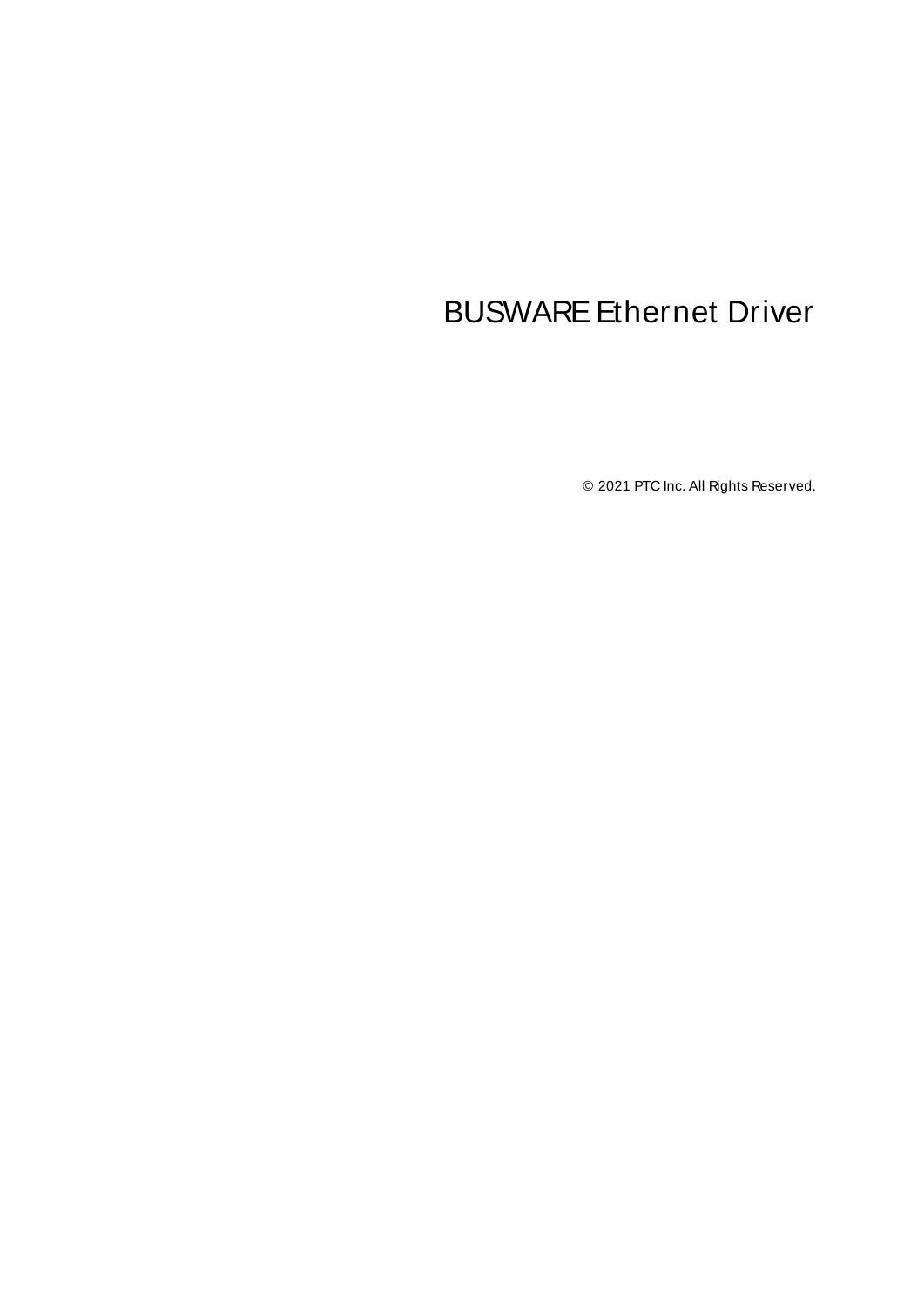# <span id="page-0-0"></span>BUSWARE Ethernet Driver

© 2021 PTC Inc. All Rights Reserved.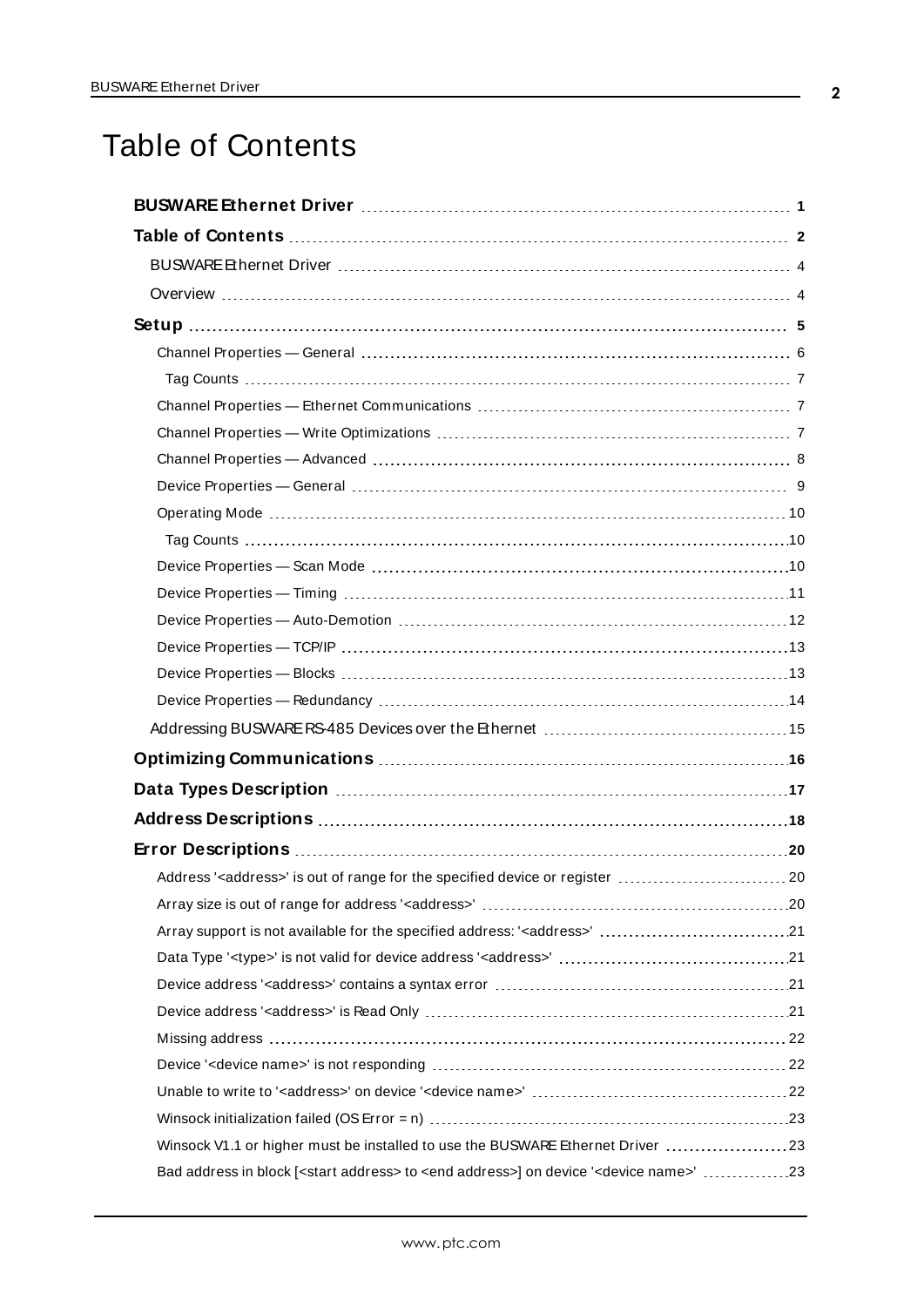# <span id="page-1-0"></span>Table of Contents

| Data Types Description manufacture and the control of the USA of the USA of the USA of the USA of the USA of t        |
|-----------------------------------------------------------------------------------------------------------------------|
|                                                                                                                       |
|                                                                                                                       |
| Address' <address>' is out of range for the specified device or register  20</address>                                |
|                                                                                                                       |
|                                                                                                                       |
|                                                                                                                       |
|                                                                                                                       |
|                                                                                                                       |
|                                                                                                                       |
|                                                                                                                       |
|                                                                                                                       |
|                                                                                                                       |
| Winsock V1.1 or higher must be installed to use the BUSWARE Ethernet Driver 23                                        |
| Bad address in block [ <start address=""> to <end address="">] on device '<device name="">' 23</device></end></start> |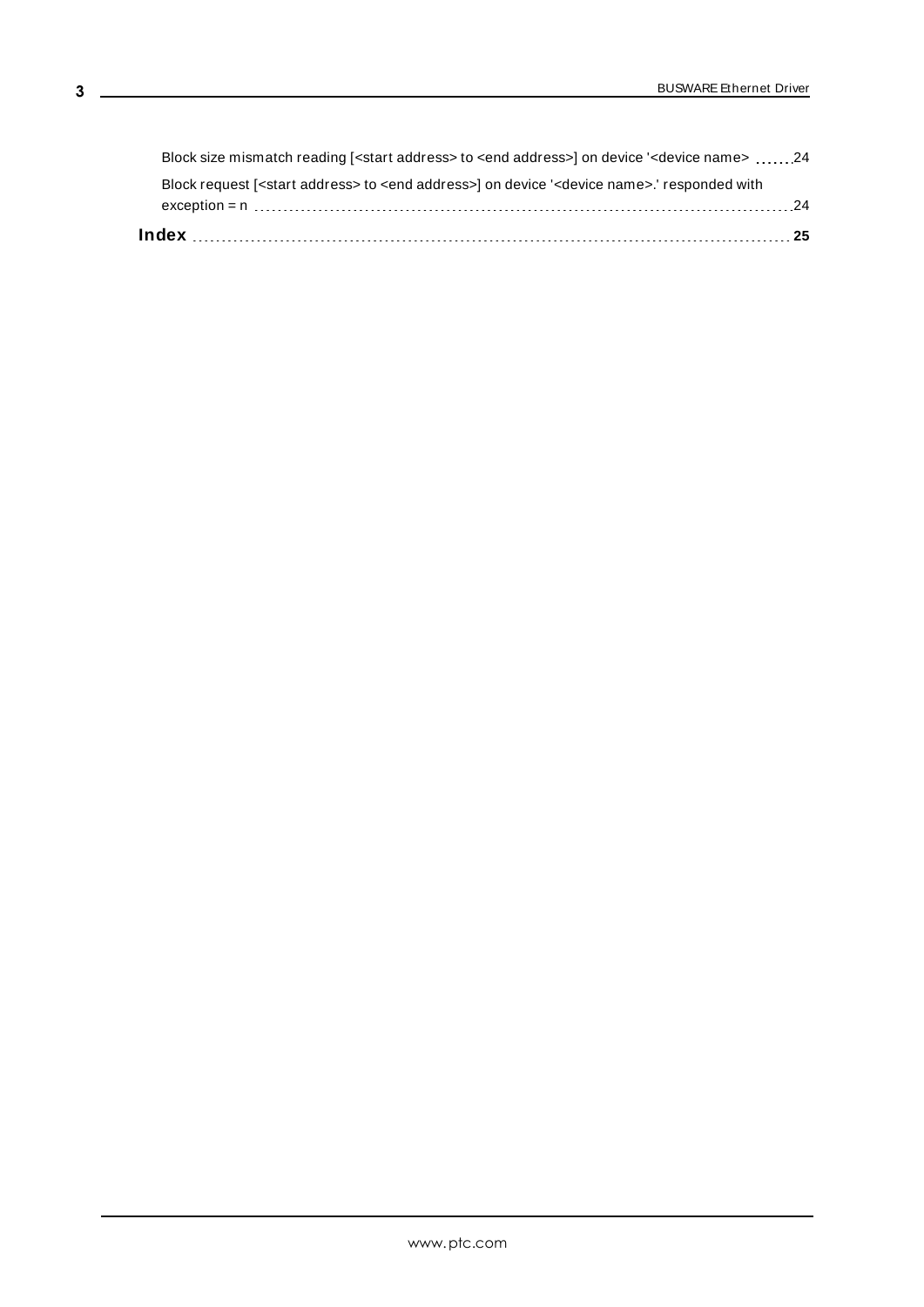| Block request [ <start address=""> to <end address="">] on device '<device name="">.' responded with</device></end></start> |  |
|-----------------------------------------------------------------------------------------------------------------------------|--|
| Block size mismatch reading [ <start address=""> to <end address="">] on device '<device name=""> 24</device></end></start> |  |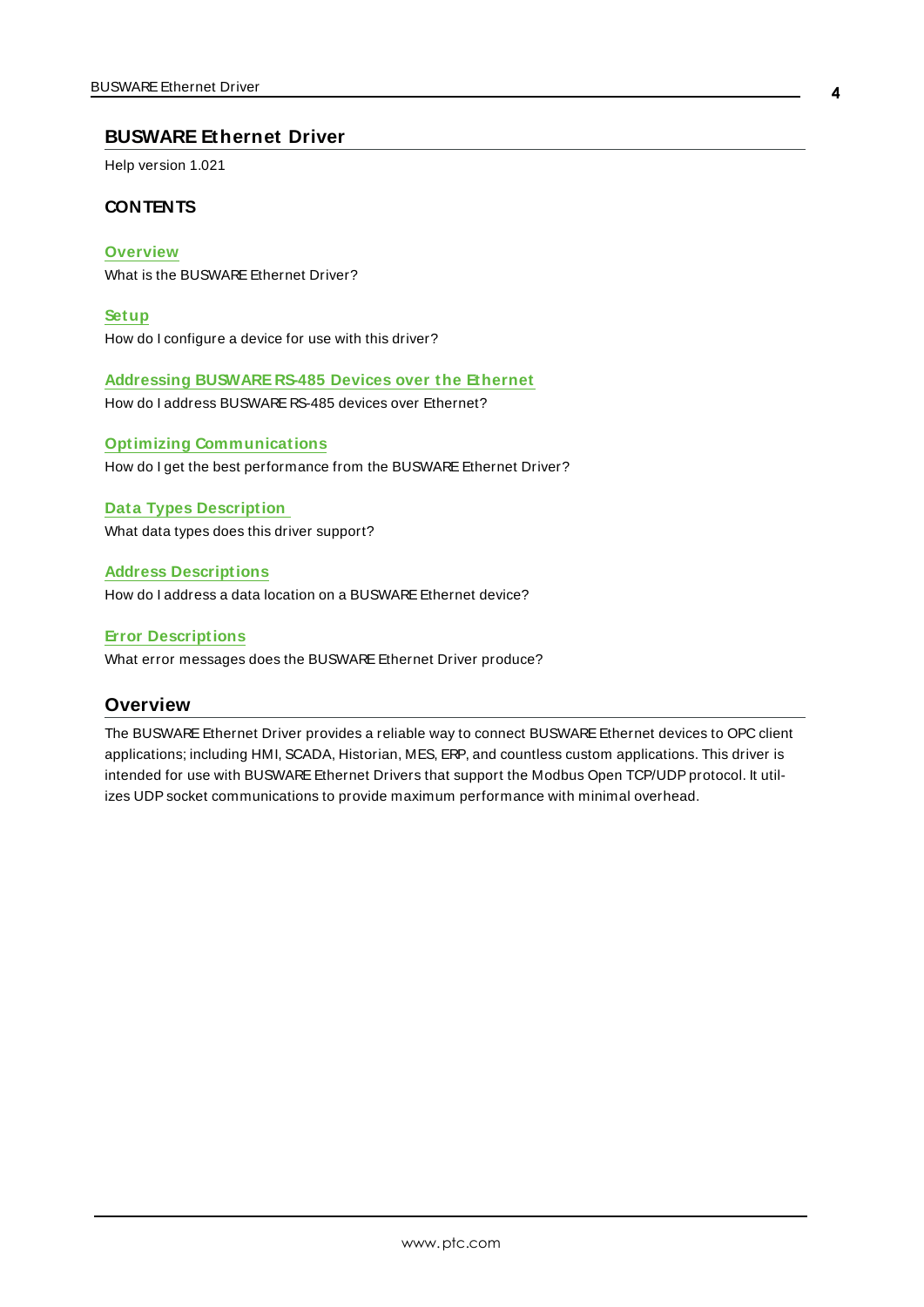### <span id="page-3-0"></span>**BUSWARE Ethernet Driver**

Help version 1.021

### **CONTENTS**

**[Overview](#page-3-1)** What is the BUSWARE Ethernet Driver?

**[Setup](#page-4-0)** How do I configure a device for use with this driver?

**[Addressing](#page-14-0) BUSWARE RS-485 Devices over the Ethernet**

How do I address BUSWARE RS-485 devices over Ethernet?

**Optimizing [Communications](#page-15-0)** How do I get the best performance from the BUSWARE Ethernet Driver?

### **Data Types [Description](#page-16-0)**

What data types does this driver support?

### **Address [Descriptions](#page-17-0)**

How do I address a data location on a BUSWARE Ethernet device?

### **Error [Descriptions](#page-19-0)**

<span id="page-3-1"></span>What error messages does the BUSWARE Ethernet Driver produce?

### <span id="page-3-2"></span>**Overview**

The BUSWARE Ethernet Driver provides a reliable way to connect BUSWARE Ethernet devices to OPC client applications; including HMI, SCADA, Historian, MES, ERP, and countless custom applications. This driver is intended for use with BUSWARE Ethernet Drivers that support the Modbus Open TCP/UDP protocol. It utilizes UDPsocket communications to provide maximum performance with minimal overhead.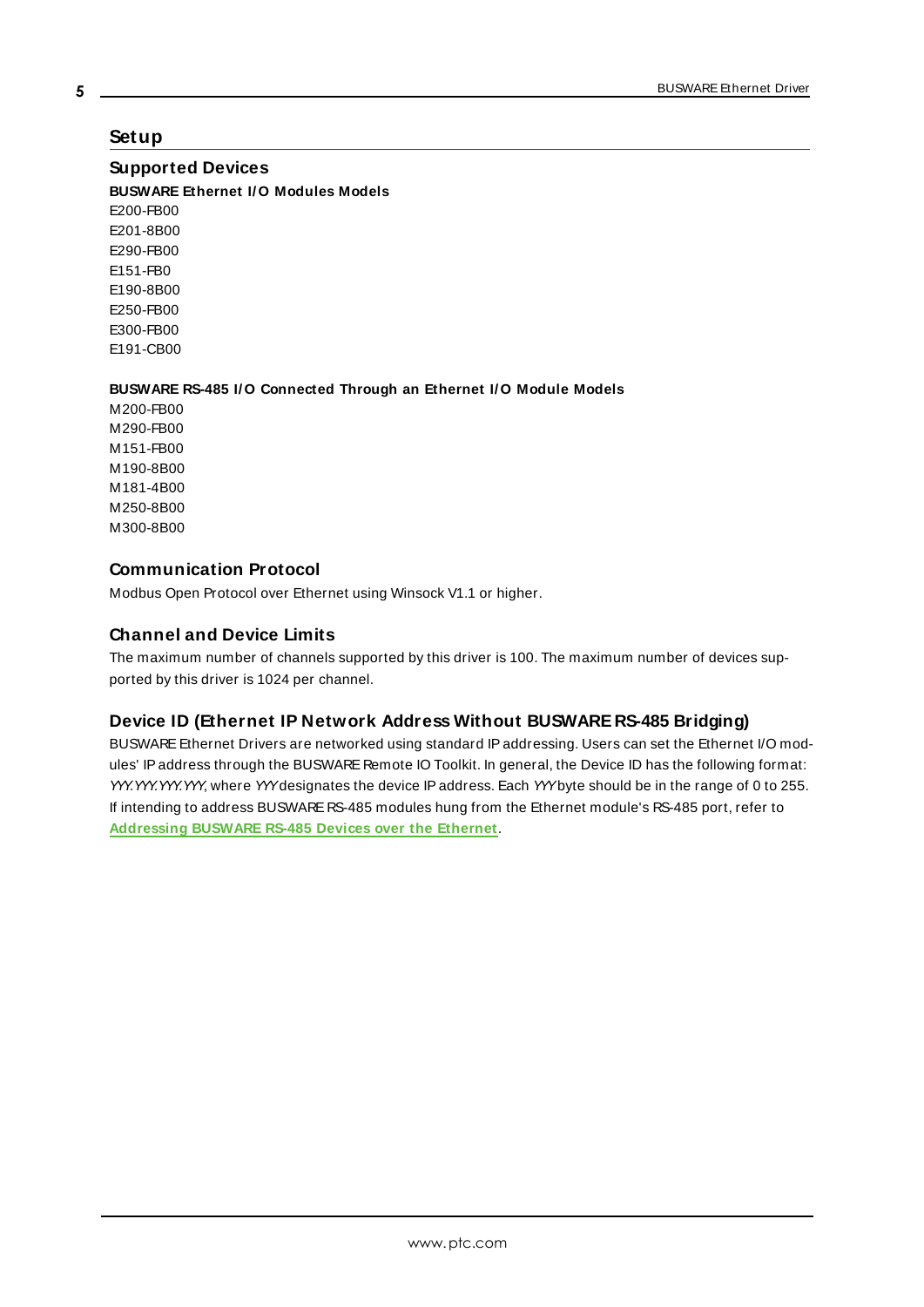### <span id="page-4-0"></span>**Setup**

### <span id="page-4-2"></span>**Supported Devices**

**BUSWARE Ethernet I/O Modules Models**

E200-FB00 E201-8B00 E290-FB00 E151-FB0 E190-8B00 E250-FB00 E300-FB00 E191-CB00

### **BUSWARE RS-485 I/O Connected Through an Ethernet I/O Module Models**

M200-FB00 M290-FB00 M151-FB00 M190-8B00 M181-4B00 M250-8B00 M300-8B00

### <span id="page-4-3"></span>**Communication Protocol**

Modbus Open Protocol over Ethernet using Winsock V1.1 or higher.

### **Channel and Device Limits**

The maximum number of channels supported by this driver is 100. The maximum number of devices supported by this driver is 1024 per channel.

### <span id="page-4-1"></span>**Device ID (Ethernet IP Network Address Without BUSWARE RS-485 Bridging)**

BUSWARE Ethernet Drivers are networked using standard IP addressing. Users can set the Ethernet I/O modules' IPaddress through the BUSWARE Remote IO Toolkit. In general, the Device ID has the following format: YYY.YYY.YYY, where YYYdesignates the device IP address. Each YYYbyte should be in the range of 0 to 255. If intending to address BUSWARE RS-485 modules hung from the Ethernet module's RS-485 port, refer to **[Addressing](#page-14-0) BUSWARE RS-485 Devices over the Ethernet**.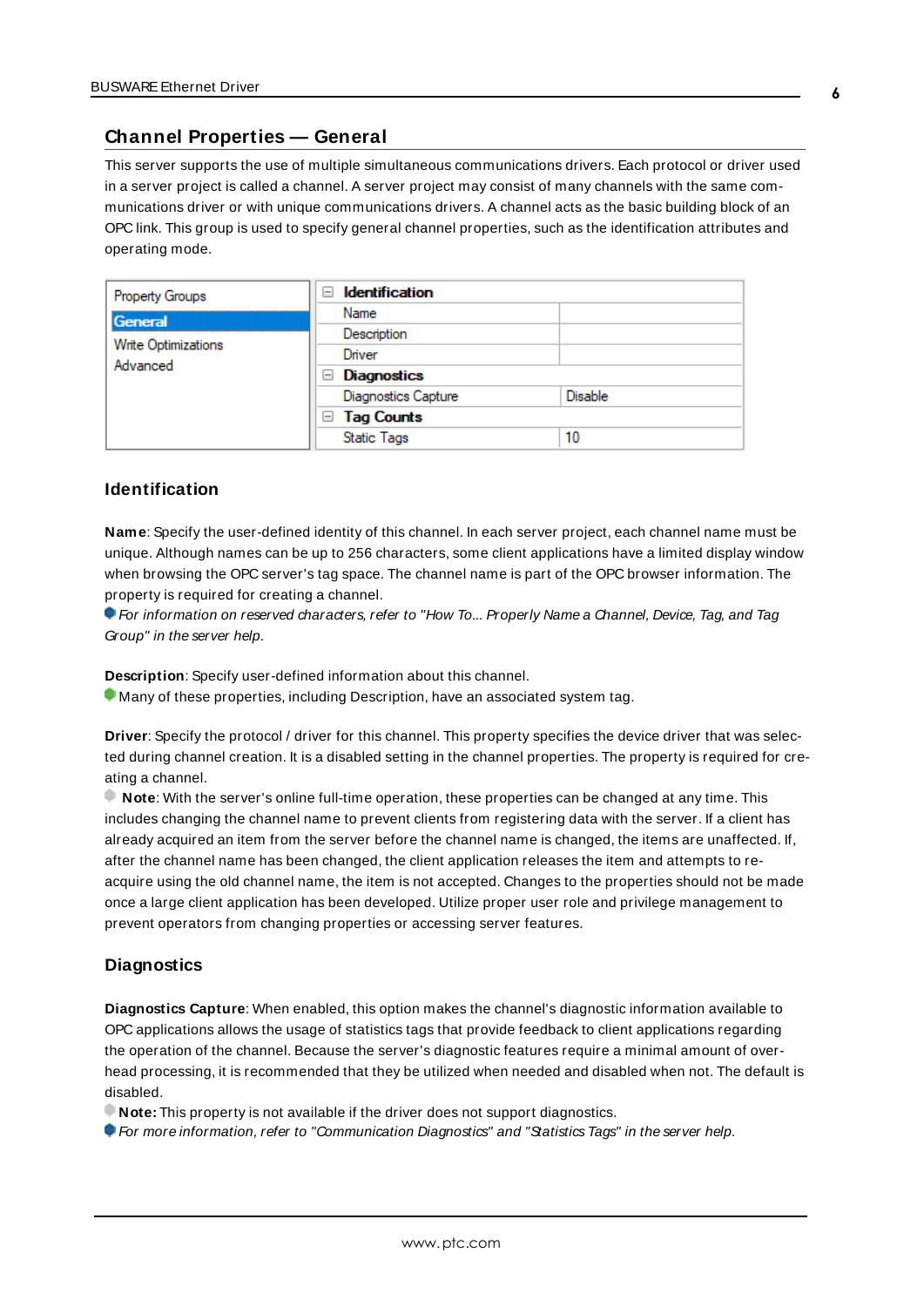### <span id="page-5-0"></span>**Channel Properties — General**

This server supports the use of multiple simultaneous communications drivers. Each protocol or driver used in a server project is called a channel. A server project may consist of many channels with the same communications driver or with unique communications drivers. A channel acts as the basic building block of an OPC link. This group is used to specify general channel properties, such as the identification attributes and operating mode.

| Property Groups                        | <b>Identification</b><br>н |                |
|----------------------------------------|----------------------------|----------------|
| General                                | Name                       |                |
| <b>Write Optimizations</b><br>Advanced | Description                |                |
|                                        | Driver                     |                |
|                                        | Diagnostics<br>$=$         |                |
|                                        | <b>Diagnostics Capture</b> | <b>Disable</b> |
|                                        | <b>Tag Counts</b><br>$=$   |                |
|                                        | <b>Static Tags</b>         | 10             |

### <span id="page-5-2"></span>**Identification**

**Name**: Specify the user-defined identity of this channel. In each server project, each channel name must be unique. Although names can be up to 256 characters, some client applications have a limited display window when browsing the OPC server's tag space. The channel name is part of the OPC browser information. The property is required for creating a channel.

For information on reserved characters, refer to "How To... Properly Name a Channel, Device, Tag, and Tag Group" in the server help.

**Description**: Specify user-defined information about this channel.

Many of these properties, including Description, have an associated system tag.

**Driver**: Specify the protocol / driver for this channel. This property specifies the device driver that was selected during channel creation. It is a disabled setting in the channel properties. The property is required for creating a channel.

**Note**: With the server's online full-time operation, these properties can be changed at any time. This includes changing the channel name to prevent clients from registering data with the server. If a client has already acquired an item from the server before the channel name is changed, the items are unaffected. If, after the channel name has been changed, the client application releases the item and attempts to reacquire using the old channel name, the item is not accepted. Changes to the properties should not be made once a large client application has been developed. Utilize proper user role and privilege management to prevent operators from changing properties or accessing server features.

### <span id="page-5-1"></span>**Diagnostics**

**Diagnostics Capture**: When enabled, this option makes the channel's diagnostic information available to OPC applications allows the usage of statistics tags that provide feedback to client applications regarding the operation of the channel. Because the server's diagnostic features require a minimal amount of overhead processing, it is recommended that they be utilized when needed and disabled when not. The default is disabled.

**Note:** This property is not available if the driver does not support diagnostics.

**For more information, refer to "Communication Diagnostics" and "Statistics Tags" in the server help.**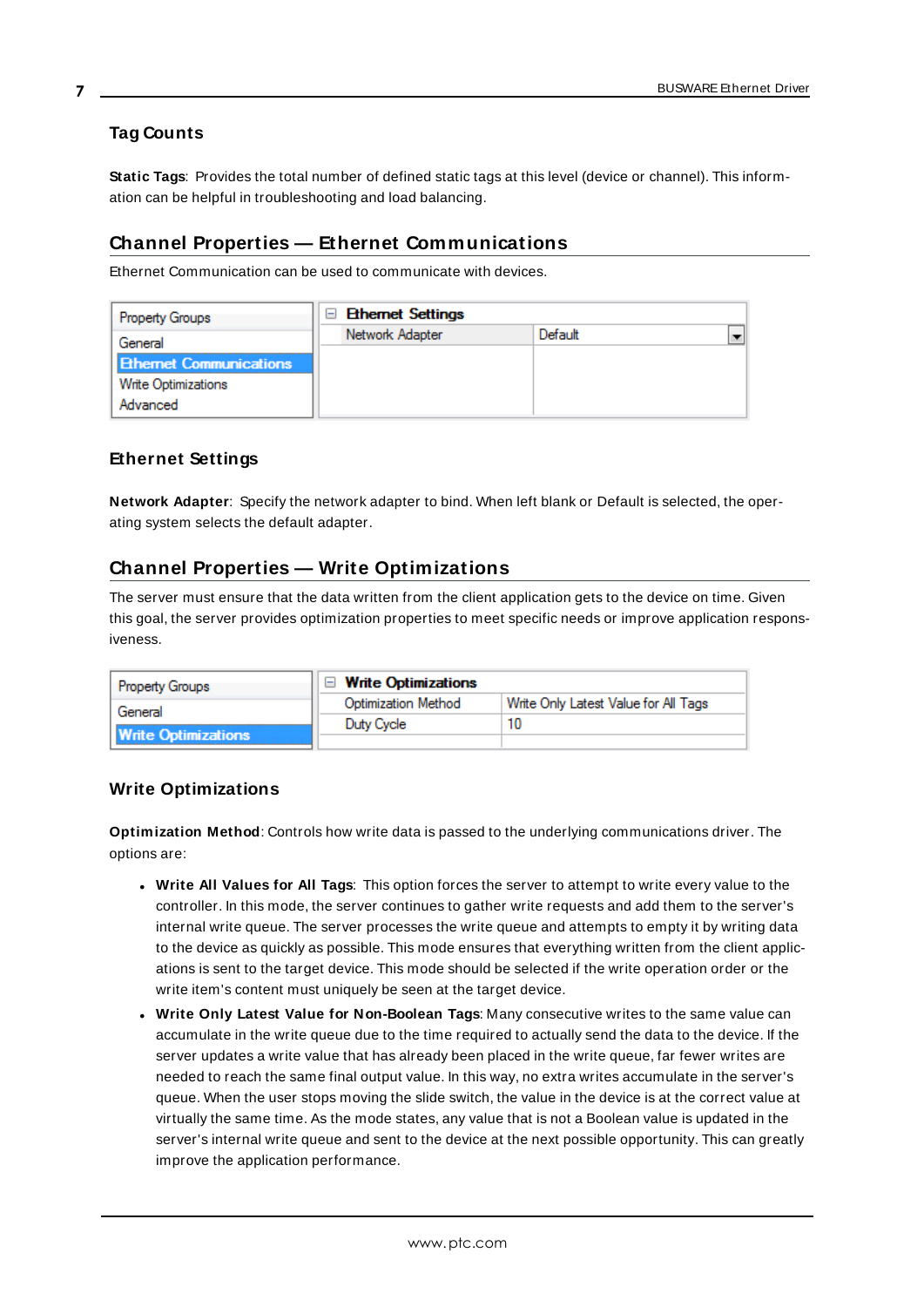### <span id="page-6-0"></span>**Tag Counts**

**Static Tags**: Provides the total number of defined static tags at this level (device or channel). This information can be helpful in troubleshooting and load balancing.

### <span id="page-6-1"></span>**Channel Properties — Ethernet Communications**

Ethernet Communication can be used to communicate with devices.

| <b>Property Groups</b>         | $\Box$ Ethernet Settings |         |  |
|--------------------------------|--------------------------|---------|--|
| General                        | Network Adapter          | Default |  |
| <b>Ethernet Communications</b> |                          |         |  |
| <b>Write Optimizations</b>     |                          |         |  |
| Advanced                       |                          |         |  |

### <span id="page-6-5"></span><span id="page-6-4"></span>**Ethernet Settings**

**Network Adapter**: Specify the network adapter to bind. When left blank or Default is selected, the operating system selects the default adapter.

### <span id="page-6-2"></span>**Channel Properties — Write Optimizations**

The server must ensure that the data written from the client application gets to the device on time. Given this goal, the server provides optimization properties to meet specific needs or improve application responsiveness.

| <b>Property Groups</b>                | $\Box$ Write Optimizations |                                      |
|---------------------------------------|----------------------------|--------------------------------------|
| General<br><b>Write Optimizations</b> | <b>Optimization Method</b> | Write Only Latest Value for All Tags |
|                                       | Duty Cycle                 | 10                                   |
|                                       |                            |                                      |

### <span id="page-6-3"></span>**Write Optimizations**

<span id="page-6-6"></span>**Optimization Method**: Controls how write data is passed to the underlying communications driver. The options are:

- <span id="page-6-7"></span><sup>l</sup> **Write All Values for All Tags**: This option forces the server to attempt to write every value to the controller. In this mode, the server continues to gather write requests and add them to the server's internal write queue. The server processes the write queue and attempts to empty it by writing data to the device as quickly as possible. This mode ensures that everything written from the client applications is sent to the target device. This mode should be selected if the write operation order or the write item's content must uniquely be seen at the target device.
- <span id="page-6-8"></span><sup>l</sup> **Write Only Latest Value for Non-Boolean Tags**: Many consecutive writes to the same value can accumulate in the write queue due to the time required to actually send the data to the device. If the server updates a write value that has already been placed in the write queue, far fewer writes are needed to reach the same final output value. In this way, no extra writes accumulate in the server's queue. When the user stops moving the slide switch, the value in the device is at the correct value at virtually the same time. As the mode states, any value that is not a Boolean value is updated in the server's internal write queue and sent to the device at the next possible opportunity. This can greatly improve the application performance.

**7**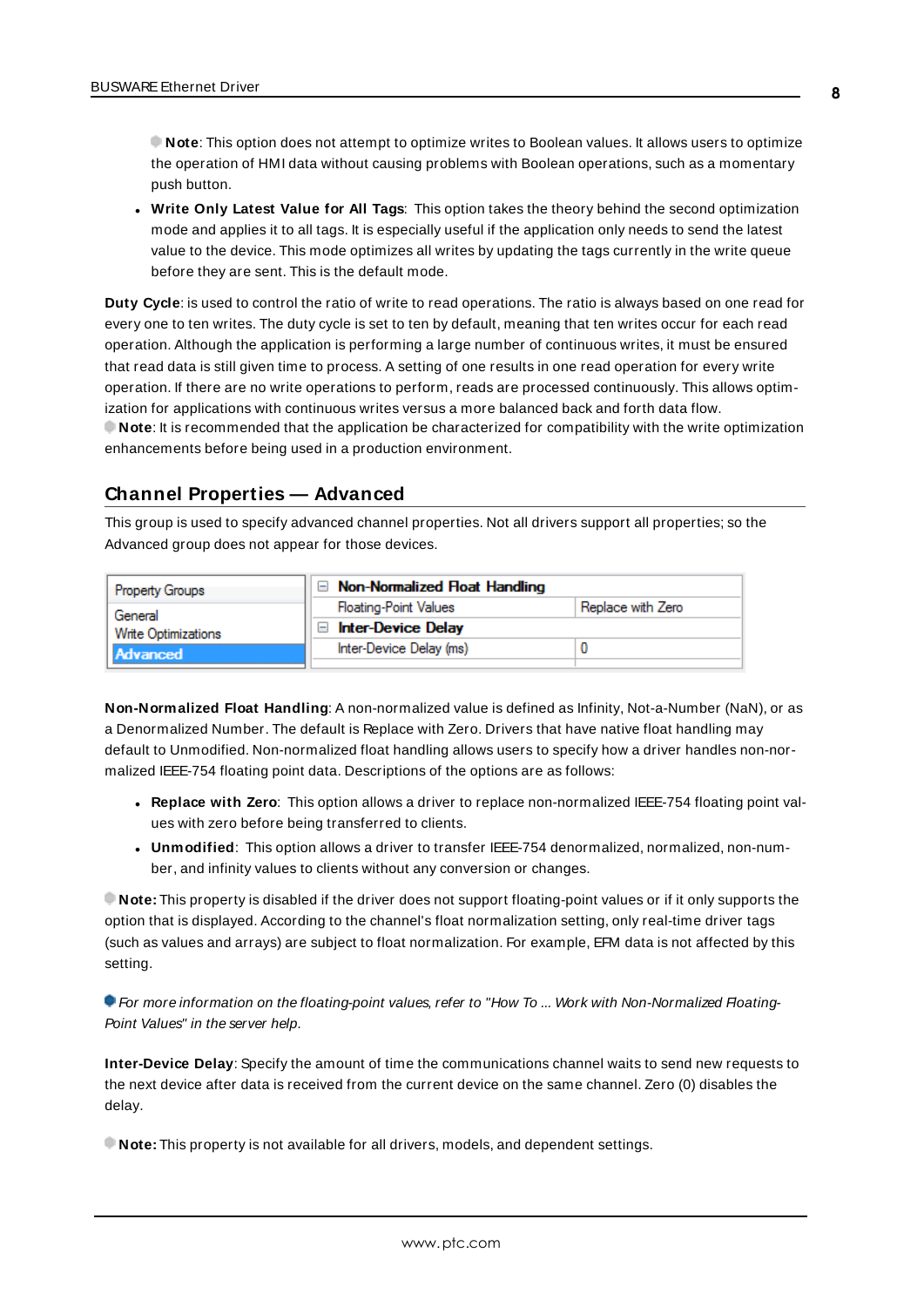**Note**: This option does not attempt to optimize writes to Boolean values. It allows users to optimize the operation of HMI data without causing problems with Boolean operations, such as a momentary push button.

<span id="page-7-6"></span><sup>l</sup> **Write Only Latest Value for All Tags**: This option takes the theory behind the second optimization mode and applies it to all tags. It is especially useful if the application only needs to send the latest value to the device. This mode optimizes all writes by updating the tags currently in the write queue before they are sent. This is the default mode.

<span id="page-7-1"></span>**Duty Cycle**: is used to control the ratio of write to read operations. The ratio is always based on one read for every one to ten writes. The duty cycle is set to ten by default, meaning that ten writes occur for each read operation. Although the application is performing a large number of continuous writes, it must be ensured that read data is still given time to process. A setting of one results in one read operation for every write operation. If there are no write operations to perform, reads are processed continuously. This allows optimization for applications with continuous writes versus a more balanced back and forth data flow. **Note**: It is recommended that the application be characterized for compatibility with the write optimization enhancements before being used in a production environment.

### <span id="page-7-0"></span>**Channel Properties — Advanced**

This group is used to specify advanced channel properties. Not all drivers support all properties; so the Advanced group does not appear for those devices.

| <b>Property Groups</b>                | $\Box$ Non-Normalized Float Handling |                   |
|---------------------------------------|--------------------------------------|-------------------|
| General<br><b>Write Optimizations</b> | <b>Floating-Point Values</b>         | Replace with Zero |
|                                       | Inter-Device Delay<br>Ξ              |                   |
| Advanced                              | Inter-Device Delay (ms)              |                   |
|                                       |                                      |                   |

<span id="page-7-3"></span>**Non-Normalized Float Handling**: A non-normalized value is defined as Infinity, Not-a-Number (NaN), or as a Denormalized Number. The default is Replace with Zero. Drivers that have native float handling may default to Unmodified. Non-normalized float handling allows users to specify how a driver handles non-normalized IEEE-754 floating point data. Descriptions of the options are as follows:

- <span id="page-7-5"></span><span id="page-7-4"></span><sup>l</sup> **Replace with Zero**: This option allows a driver to replace non-normalized IEEE-754 floating point values with zero before being transferred to clients.
- <sup>l</sup> **Unmodified**: This option allows a driver to transfer IEEE-754 denormalized, normalized, non-number, and infinity values to clients without any conversion or changes.

**Note:** This property is disabled if the driver does not support floating-point values or if it only supports the option that is displayed. According to the channel's float normalization setting, only real-time driver tags (such as values and arrays) are subject to float normalization. For example, EFM data is not affected by this setting.

**• For more information on the floating-point values, refer to "How To ... Work with Non-Normalized Floating-**Point Values" in the server help.

<span id="page-7-2"></span>**Inter-Device Delay**: Specify the amount of time the communications channel waits to send new requests to the next device after data is received from the current device on the same channel. Zero (0) disables the delay.

**Note:** This property is not available for all drivers, models, and dependent settings.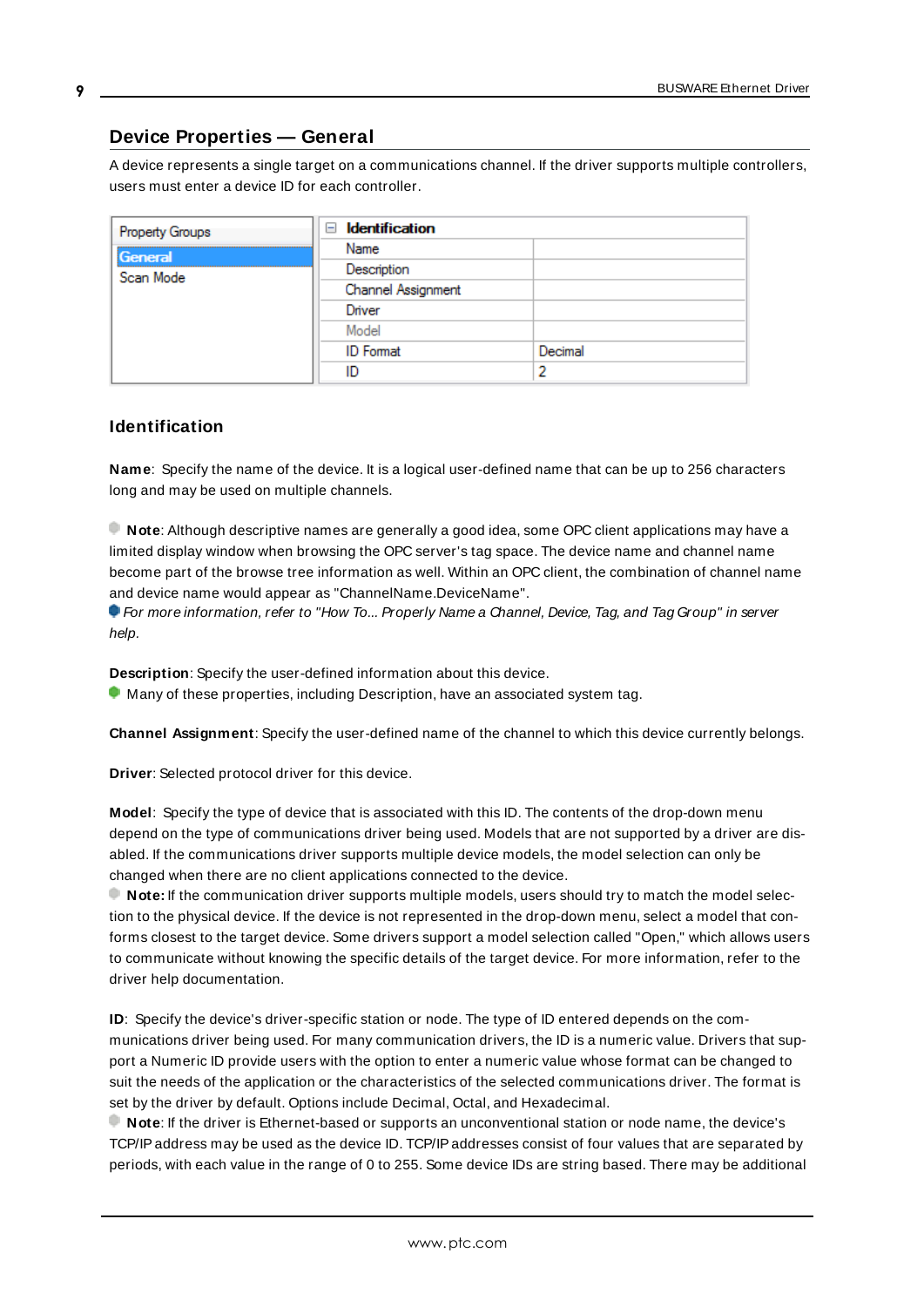### <span id="page-8-0"></span>**Device Properties — General**

A device represents a single target on a communications channel. If the driver supports multiple controllers, users must enter a device ID for each controller.

| Property Groups | Identification<br>$=$ |         |
|-----------------|-----------------------|---------|
| General         | Name                  |         |
| Scan Mode       | Description           |         |
|                 | Channel Assignment    |         |
|                 | Driver                |         |
|                 | Model                 |         |
|                 | <b>ID</b> Format      | Decimal |
|                 | ID                    | っ       |

### <span id="page-8-6"></span><span id="page-8-4"></span>**Identification**

**Name**: Specify the name of the device. It is a logical user-defined name that can be up to 256 characters long and may be used on multiple channels.

**Note**: Although descriptive names are generally a good idea, some OPC client applications may have a limited display window when browsing the OPC server's tag space. The device name and channel name become part of the browse tree information as well. Within an OPC client, the combination of channel name and device name would appear as "ChannelName.DeviceName".

For more information, refer to "How To... Properly Name a Channel, Device, Tag, and Tag Group" in server help.

**Description**: Specify the user-defined information about this device.

<span id="page-8-1"></span>**Many of these properties, including Description, have an associated system tag.** 

<span id="page-8-2"></span>**Channel Assignment**: Specify the user-defined name of the channel to which this device currently belongs.

<span id="page-8-5"></span>**Driver**: Selected protocol driver for this device.

**Model**: Specify the type of device that is associated with this ID. The contents of the drop-down menu depend on the type of communications driver being used. Models that are not supported by a driver are disabled. If the communications driver supports multiple device models, the model selection can only be changed when there are no client applications connected to the device.

**Note:** If the communication driver supports multiple models, users should try to match the model selection to the physical device. If the device is not represented in the drop-down menu, select a model that conforms closest to the target device. Some drivers support a model selection called "Open," which allows users to communicate without knowing the specific details of the target device. For more information, refer to the driver help documentation.

<span id="page-8-3"></span>**ID**: Specify the device's driver-specific station or node. The type of ID entered depends on the communications driver being used. For many communication drivers, the ID is a numeric value. Drivers that support a Numeric ID provide users with the option to enter a numeric value whose format can be changed to suit the needs of the application or the characteristics of the selected communications driver. The format is set by the driver by default. Options include Decimal, Octal, and Hexadecimal.

**Note**: If the driver is Ethernet-based or supports an unconventional station or node name, the device's TCP/IPaddress may be used as the device ID. TCP/IPaddresses consist of four values that are separated by periods, with each value in the range of 0 to 255. Some device IDs are string based. There may be additional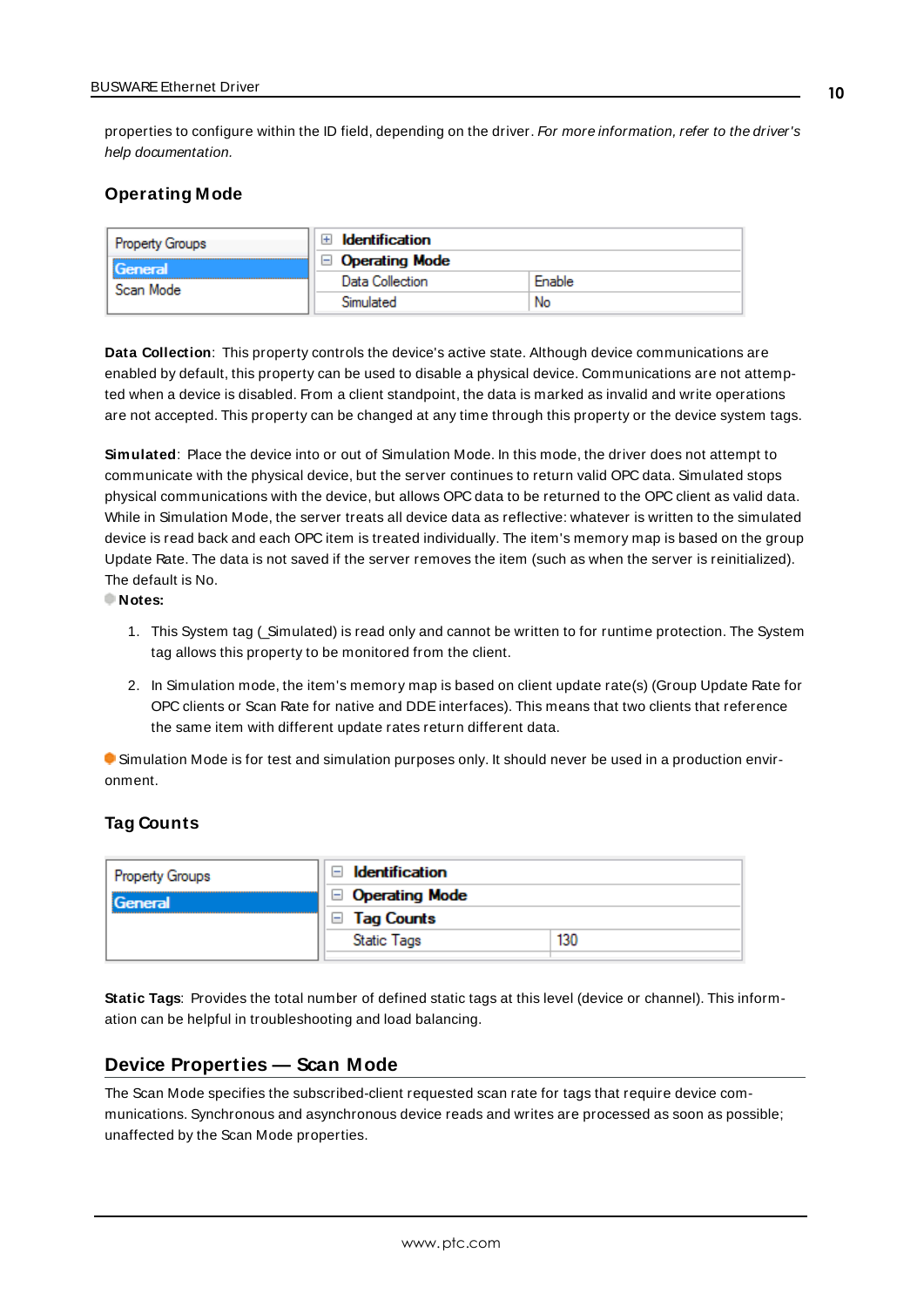properties to configure within the ID field, depending on the driver. For more information, refer to the driver's help documentation.

### <span id="page-9-0"></span>**Operating Mode**

| Property Groups<br><b>General</b> | <b>Identification</b> |        |
|-----------------------------------|-----------------------|--------|
|                                   | <b>Operating Mode</b> |        |
| Scan Mode                         | Data Collection       | Enable |
|                                   | Simulated             | No     |

<span id="page-9-3"></span>**Data Collection**: This property controls the device's active state. Although device communications are enabled by default, this property can be used to disable a physical device. Communications are not attempted when a device is disabled. From a client standpoint, the data is marked as invalid and write operations are not accepted. This property can be changed at any time through this property or the device system tags.

<span id="page-9-4"></span>**Simulated**: Place the device into or out of Simulation Mode. In this mode, the driver does not attempt to communicate with the physical device, but the server continues to return valid OPC data. Simulated stops physical communications with the device, but allows OPC data to be returned to the OPC client as valid data. While in Simulation Mode, the server treats all device data as reflective: whatever is written to the simulated device is read back and each OPC item is treated individually. The item's memory map is based on the group Update Rate. The data is not saved if the server removes the item (such as when the server is reinitialized). The default is No.

**Notes:**

- 1. This System tag (\_Simulated) is read only and cannot be written to for runtime protection. The System tag allows this property to be monitored from the client.
- 2. In Simulation mode, the item's memory map is based on client update rate(s) (Group Update Rate for OPC clients or Scan Rate for native and DDEinterfaces). This means that two clients that reference the same item with different update rates return different data.

 Simulation Mode is for test and simulation purposes only. It should never be used in a production environment.

### <span id="page-9-1"></span>**Tag Counts**

| <b>Property Groups</b> | Identification         |     |
|------------------------|------------------------|-----|
| General                | □ Operating Mode       |     |
|                        | <b>Tag Counts</b><br>- |     |
|                        | <b>Static Tags</b>     | 130 |
|                        |                        |     |

**Static Tags**: Provides the total number of defined static tags at this level (device or channel). This information can be helpful in troubleshooting and load balancing.

### <span id="page-9-2"></span>**Device Properties — Scan Mode**

The Scan Mode specifies the subscribed-client requested scan rate for tags that require device communications. Synchronous and asynchronous device reads and writes are processed as soon as possible; unaffected by the Scan Mode properties.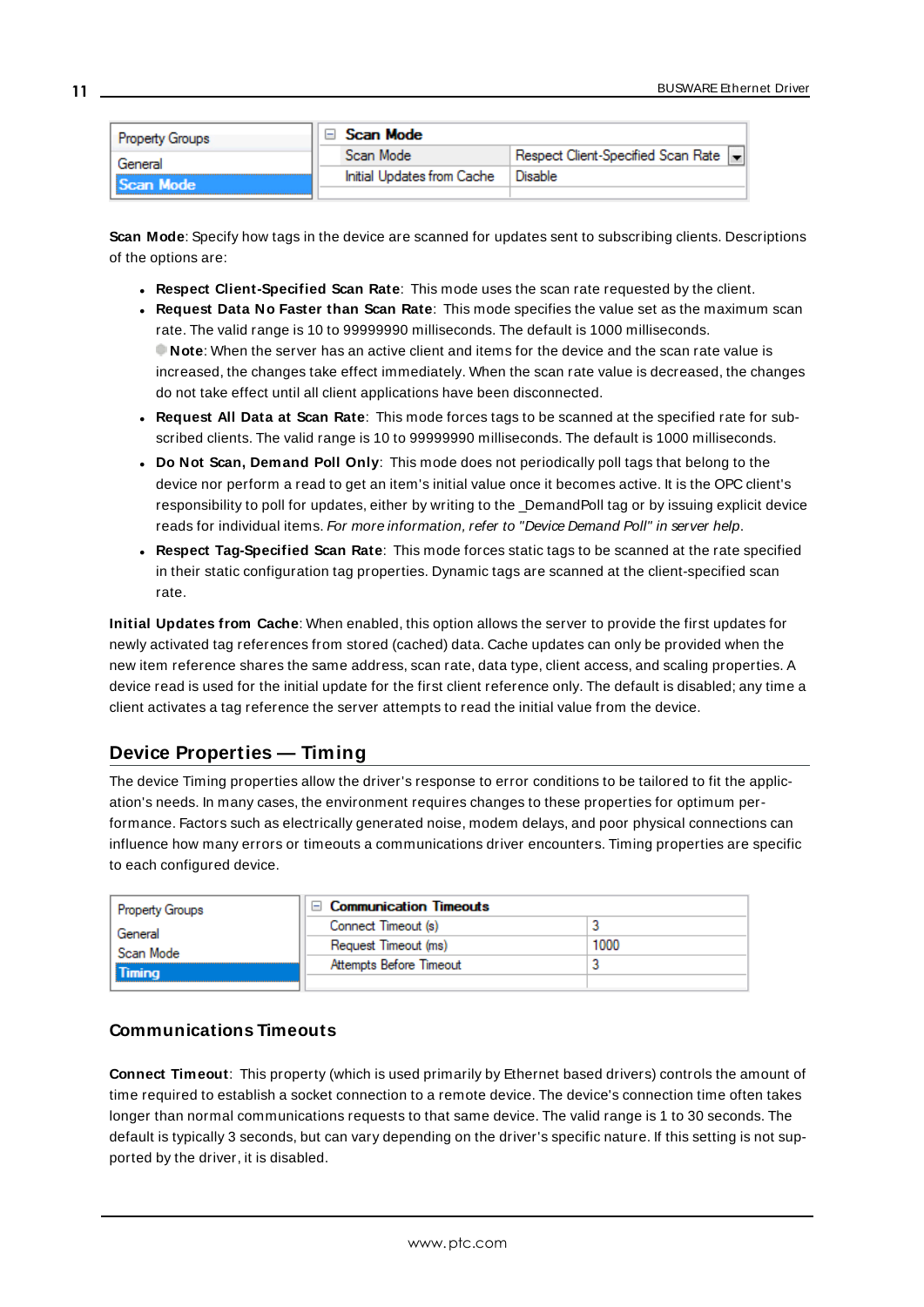| <b>Property Groups</b> |  | Scan Mode                  |                                    |  |
|------------------------|--|----------------------------|------------------------------------|--|
| General                |  | Scan Mode                  | Respect Client-Specified Scan Rate |  |
| <b>Scan Mode</b>       |  | Initial Updates from Cache | Disable                            |  |
|                        |  |                            |                                    |  |

<span id="page-10-6"></span>**Scan Mode**: Specify how tags in the device are scanned for updates sent to subscribing clients. Descriptions of the options are:

- <sup>l</sup> **Respect Client-Specified Scan Rate**: This mode uses the scan rate requested by the client.
- <sup>l</sup> **Request Data No Faster than Scan Rate**: This mode specifies the value set as the maximum scan rate. The valid range is 10 to 99999990 milliseconds. The default is 1000 milliseconds. **Note**: When the server has an active client and items for the device and the scan rate value is increased, the changes take effect immediately. When the scan rate value is decreased, the changes do not take effect until all client applications have been disconnected.
- <span id="page-10-3"></span><sup>l</sup> **Request All Data at Scan Rate**: This mode forces tags to be scanned at the specified rate for subscribed clients. The valid range is 10 to 99999990 milliseconds. The default is 1000 milliseconds.
- <sup>l</sup> **Do Not Scan, Demand Poll Only**: This mode does not periodically poll tags that belong to the device nor perform a read to get an item's initial value once it becomes active. It is the OPC client's responsibility to poll for updates, either by writing to the \_DemandPoll tag or by issuing explicit device reads for individual items. For more information, refer to "Device Demand Poll" in server help.
- <span id="page-10-5"></span><sup>l</sup> **Respect Tag-Specified Scan Rate**: This mode forces static tags to be scanned at the rate specified in their static configuration tag properties. Dynamic tags are scanned at the client-specified scan rate.

<span id="page-10-4"></span>**Initial Updates from Cache**: When enabled, this option allows the server to provide the first updates for newly activated tag references from stored (cached) data. Cache updates can only be provided when the new item reference shares the same address, scan rate, data type, client access, and scaling properties. A device read is used for the initial update for the first client reference only. The default is disabled; any time a client activates a tag reference the server attempts to read the initial value from the device.

## <span id="page-10-1"></span><span id="page-10-0"></span>**Device Properties — Timing**

The device Timing properties allow the driver's response to error conditions to be tailored to fit the application's needs. In many cases, the environment requires changes to these properties for optimum performance. Factors such as electrically generated noise, modem delays, and poor physical connections can influence how many errors or timeouts a communications driver encounters. Timing properties are specific to each configured device.

| Property Groups | $\Box$ Communication Timeouts |      |
|-----------------|-------------------------------|------|
| General         | Connect Timeout (s)           |      |
| Scan Mode       | Request Timeout (ms)          | 1000 |
| <b>Timina</b>   | Attempts Before Timeout       |      |
|                 |                               |      |

### <span id="page-10-2"></span>**Communications Timeouts**

**Connect Timeout**: This property (which is used primarily by Ethernet based drivers) controls the amount of time required to establish a socket connection to a remote device. The device's connection time often takes longer than normal communications requests to that same device. The valid range is 1 to 30 seconds. The default is typically 3 seconds, but can vary depending on the driver's specific nature. If this setting is not supported by the driver, it is disabled.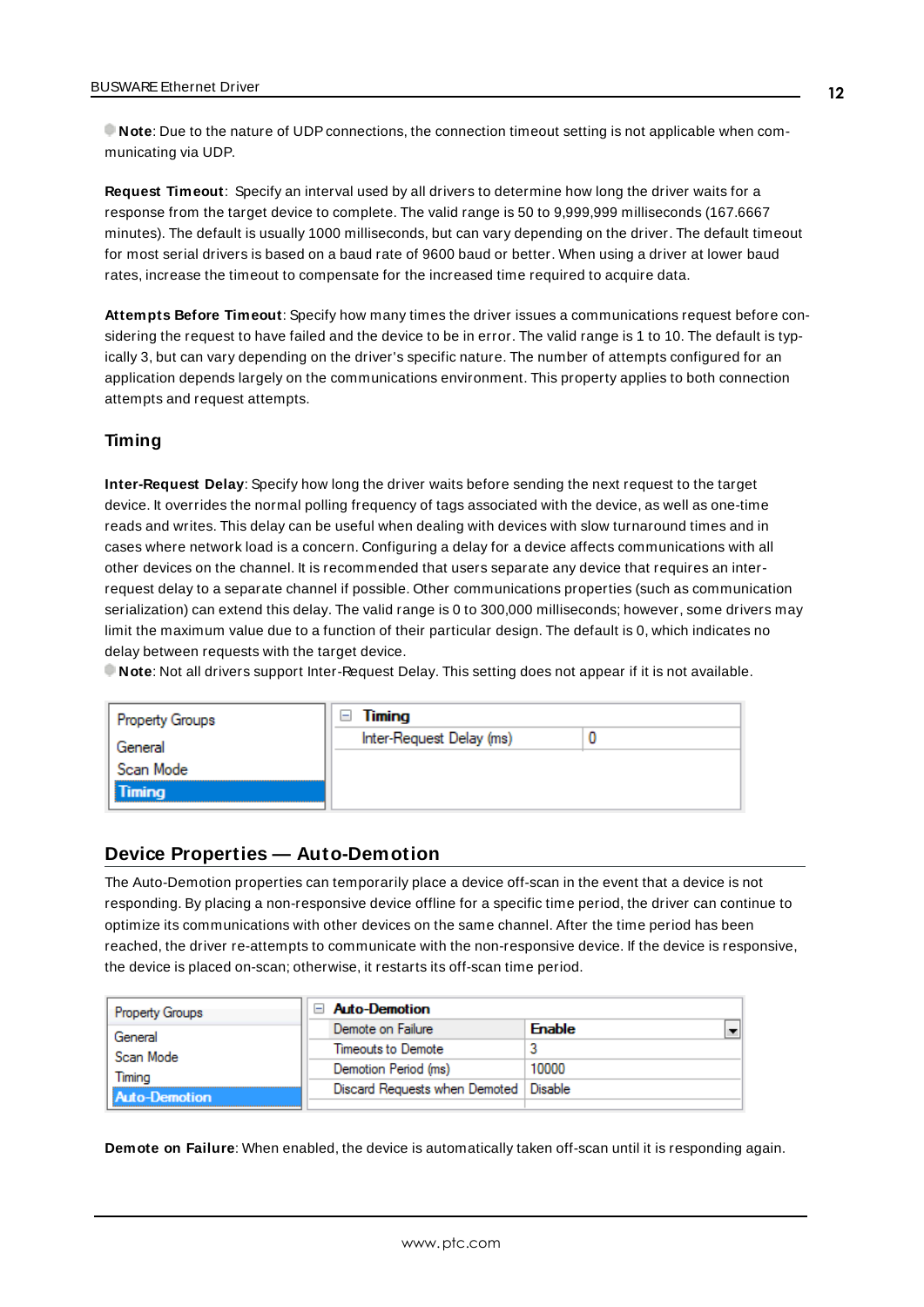**Note**: Due to the nature of UDPconnections, the connection timeout setting is not applicable when communicating via UDP.

<span id="page-11-3"></span>**Request Timeout**: Specify an interval used by all drivers to determine how long the driver waits for a response from the target device to complete. The valid range is 50 to 9,999,999 milliseconds (167.6667 minutes). The default is usually 1000 milliseconds, but can vary depending on the driver. The default timeout for most serial drivers is based on a baud rate of 9600 baud or better. When using a driver at lower baud rates, increase the timeout to compensate for the increased time required to acquire data.

<span id="page-11-1"></span>**Attempts Before Timeout**: Specify how many times the driver issues a communications request before considering the request to have failed and the device to be in error. The valid range is 1 to 10. The default is typically 3, but can vary depending on the driver's specific nature. The number of attempts configured for an application depends largely on the communications environment. This property applies to both connection attempts and request attempts.

### **Timing**

**Inter-Request Delay**: Specify how long the driver waits before sending the next request to the target device. It overrides the normal polling frequency of tags associated with the device, as well as one-time reads and writes. This delay can be useful when dealing with devices with slow turnaround times and in cases where network load is a concern. Configuring a delay for a device affects communications with all other devices on the channel. It is recommended that users separate any device that requires an interrequest delay to a separate channel if possible. Other communications properties (such as communication serialization) can extend this delay. The valid range is 0 to 300,000 milliseconds; however, some drivers may limit the maximum value due to a function of their particular design. The default is 0, which indicates no delay between requests with the target device.

**Note**: Not all drivers support Inter-Request Delay. This setting does not appear if it is not available.

| Property Groups | Timing<br>l-             |  |
|-----------------|--------------------------|--|
| General         | Inter-Request Delay (ms) |  |
| Scan Mode       |                          |  |
| Timing          |                          |  |
|                 |                          |  |

### <span id="page-11-0"></span>**Device Properties — Auto-Demotion**

The Auto-Demotion properties can temporarily place a device off-scan in the event that a device is not responding. By placing a non-responsive device offline for a specific time period, the driver can continue to optimize its communications with other devices on the same channel. After the time period has been reached, the driver re-attempts to communicate with the non-responsive device. If the device is responsive, the device is placed on-scan; otherwise, it restarts its off-scan time period.

| <b>Property Groups</b> | $\Box$ Auto-Demotion                    |               |
|------------------------|-----------------------------------------|---------------|
| General                | Demote on Failure                       | <b>Enable</b> |
| Scan Mode              | Timeouts to Demote                      |               |
| Timina                 | Demotion Period (ms)                    | 10000         |
| <b>Auto-Demotion</b>   | Discard Requests when Demoted   Disable |               |
|                        |                                         |               |

<span id="page-11-2"></span>**Demote on Failure**: When enabled, the device is automatically taken off-scan until it is responding again.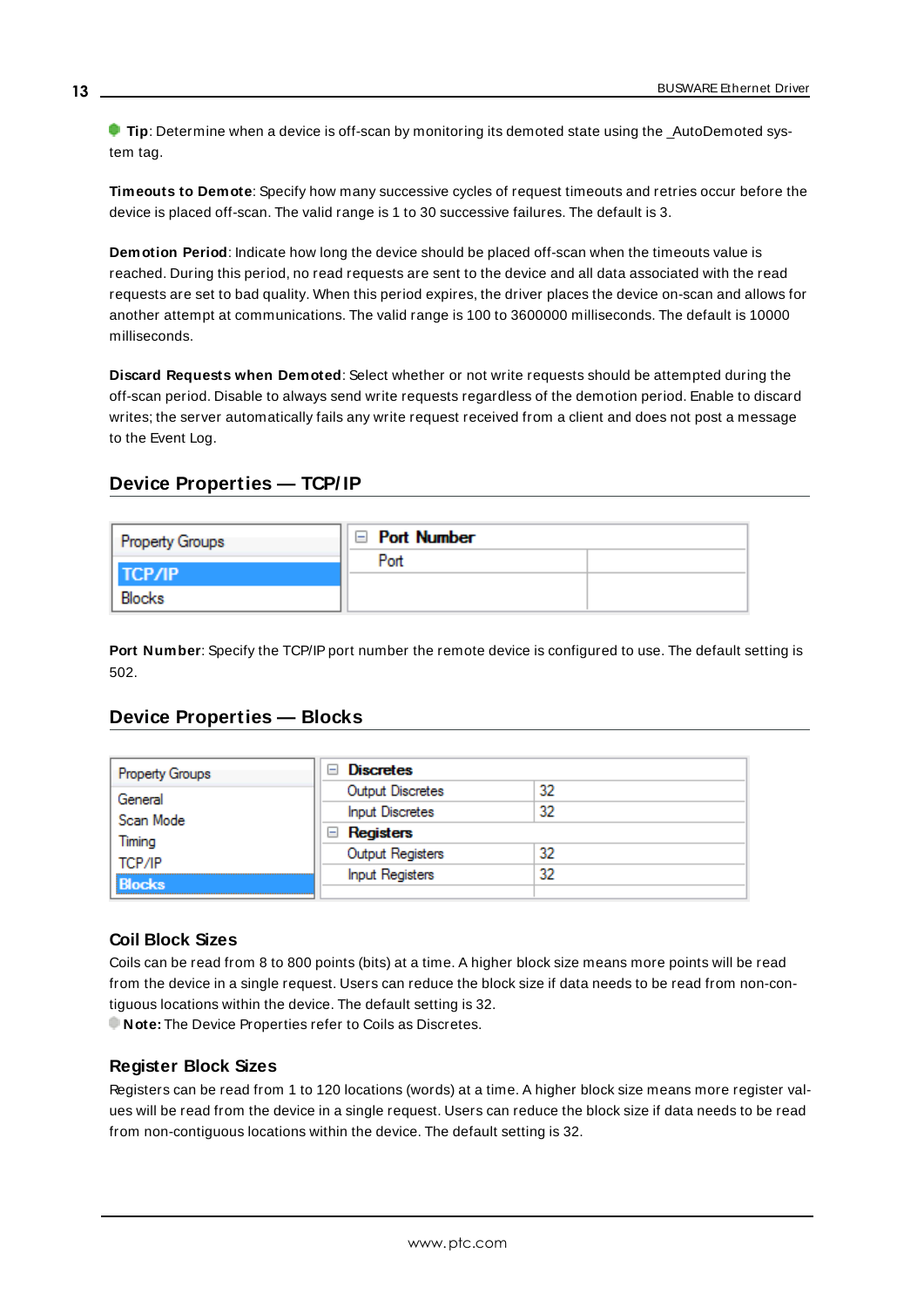**Tip:** Determine when a device is off-scan by monitoring its demoted state using the AutoDemoted system tag.

<span id="page-12-7"></span>**Timeouts to Demote**: Specify how many successive cycles of request timeouts and retries occur before the device is placed off-scan. The valid range is 1 to 30 successive failures. The default is 3.

<span id="page-12-3"></span>**Demotion Period**: Indicate how long the device should be placed off-scan when the timeouts value is reached. During this period, no read requests are sent to the device and all data associated with the read requests are set to bad quality. When this period expires, the driver places the device on-scan and allows for another attempt at communications. The valid range is 100 to 3600000 milliseconds. The default is 10000 milliseconds.

<span id="page-12-4"></span>**Discard Requests when Demoted**: Select whether or not write requests should be attempted during the off-scan period. Disable to always send write requests regardless of the demotion period. Enable to discard writes; the server automatically fails any write request received from a client and does not post a message to the Event Log.

### <span id="page-12-0"></span>**Device Properties — TCP/ IP**

| <b>Property Groups</b> | <b>Port Number</b> |  |
|------------------------|--------------------|--|
|                        | Port               |  |
| <b>TCP/IP</b>          |                    |  |
| Blocks                 |                    |  |

<span id="page-12-5"></span>Port Number: Specify the TCP/IP port number the remote device is configured to use. The default setting is 502.

### <span id="page-12-1"></span>**Device Properties — Blocks**

| Property Groups | <b>Discretes</b><br>$\overline{\phantom{a}}$ |    |
|-----------------|----------------------------------------------|----|
| General         | Output Discretes                             | 32 |
| Scan Mode       | <b>Input Discretes</b>                       | 32 |
| Timing          | Registers<br>ь                               |    |
| TCP/IP          | Output Registers                             | 32 |
|                 | <b>Input Registers</b>                       | 32 |
| <b>Blocks</b>   |                                              |    |

### <span id="page-12-2"></span>**Coil Block Sizes**

Coils can be read from 8 to 800 points (bits) at a time. A higher block size means more points will be read from the device in a single request. Users can reduce the block size if data needs to be read from non-contiguous locations within the device. The default setting is 32.

<span id="page-12-6"></span>**Note:** The Device Properties refer to Coils as Discretes.

### **Register Block Sizes**

Registers can be read from 1 to 120 locations (words) at a time. A higher block size means more register values will be read from the device in a single request. Users can reduce the block size if data needs to be read from non-contiguous locations within the device. The default setting is 32.

**13**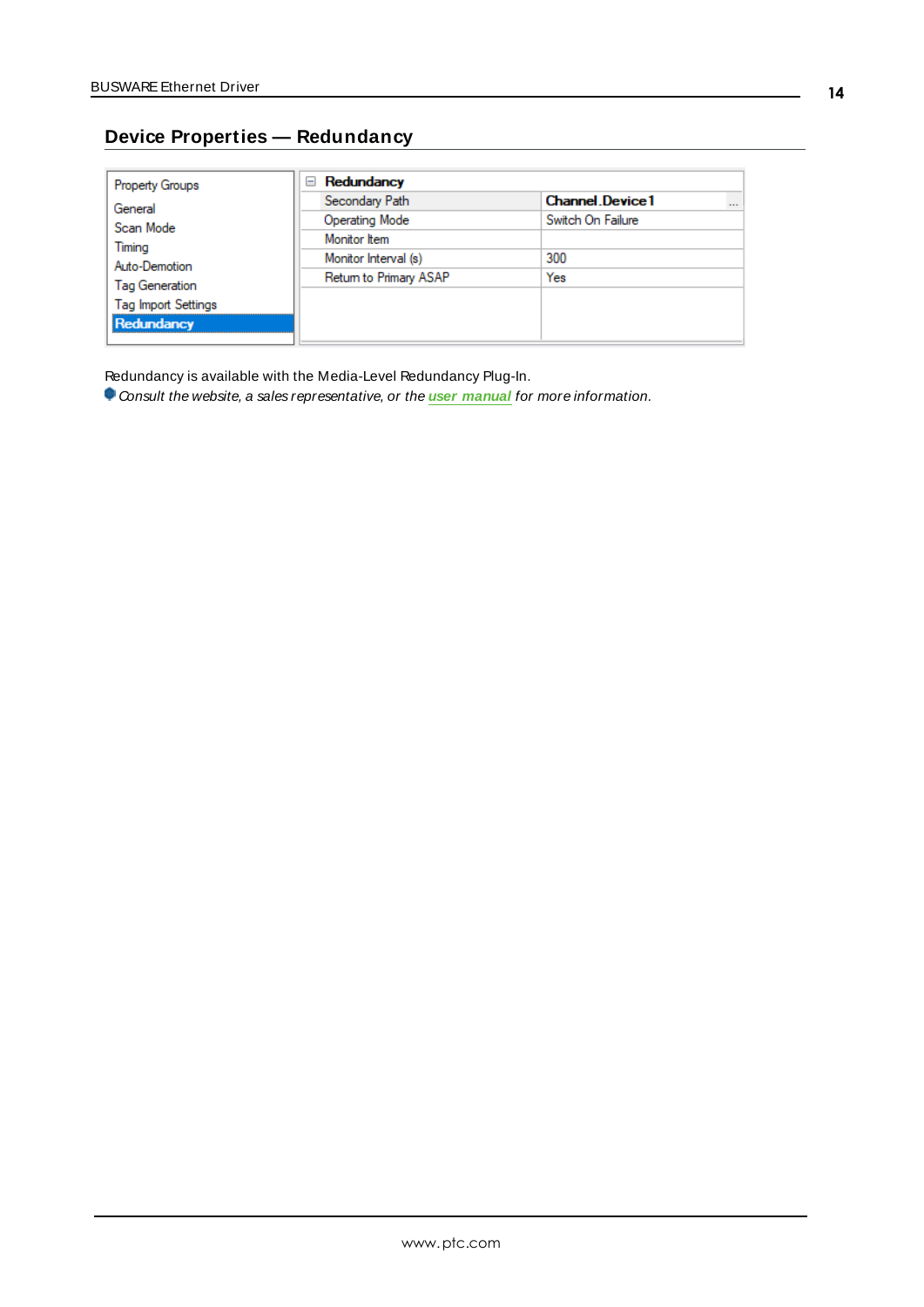## <span id="page-13-0"></span>**Device Properties — Redundancy**

| <b>Property Groups</b>     | Redundancy<br>$\equiv$ |                                    |
|----------------------------|------------------------|------------------------------------|
| General                    | Secondary Path         | <b>Channel Device1</b><br>$\cdots$ |
| Scan Mode<br>Timing        | Operating Mode         | Switch On Failure                  |
|                            | Monitor Item           |                                    |
| Auto-Demotion              | Monitor Interval (s)   | 300                                |
| <b>Tag Generation</b>      | Return to Primary ASAP | Yes                                |
| <b>Tag Import Settings</b> |                        |                                    |
|                            |                        |                                    |
| Redundancy                 |                        |                                    |

Redundancy is available with the Media-Level Redundancy Plug-In.

Consult the website, a sales representative, or the **user [manual](https://www.kepware.com/getattachment/35461efd-b53a-4219-a109-a89fad20b230/media-level-redundancy-manual.pdf)** for more information.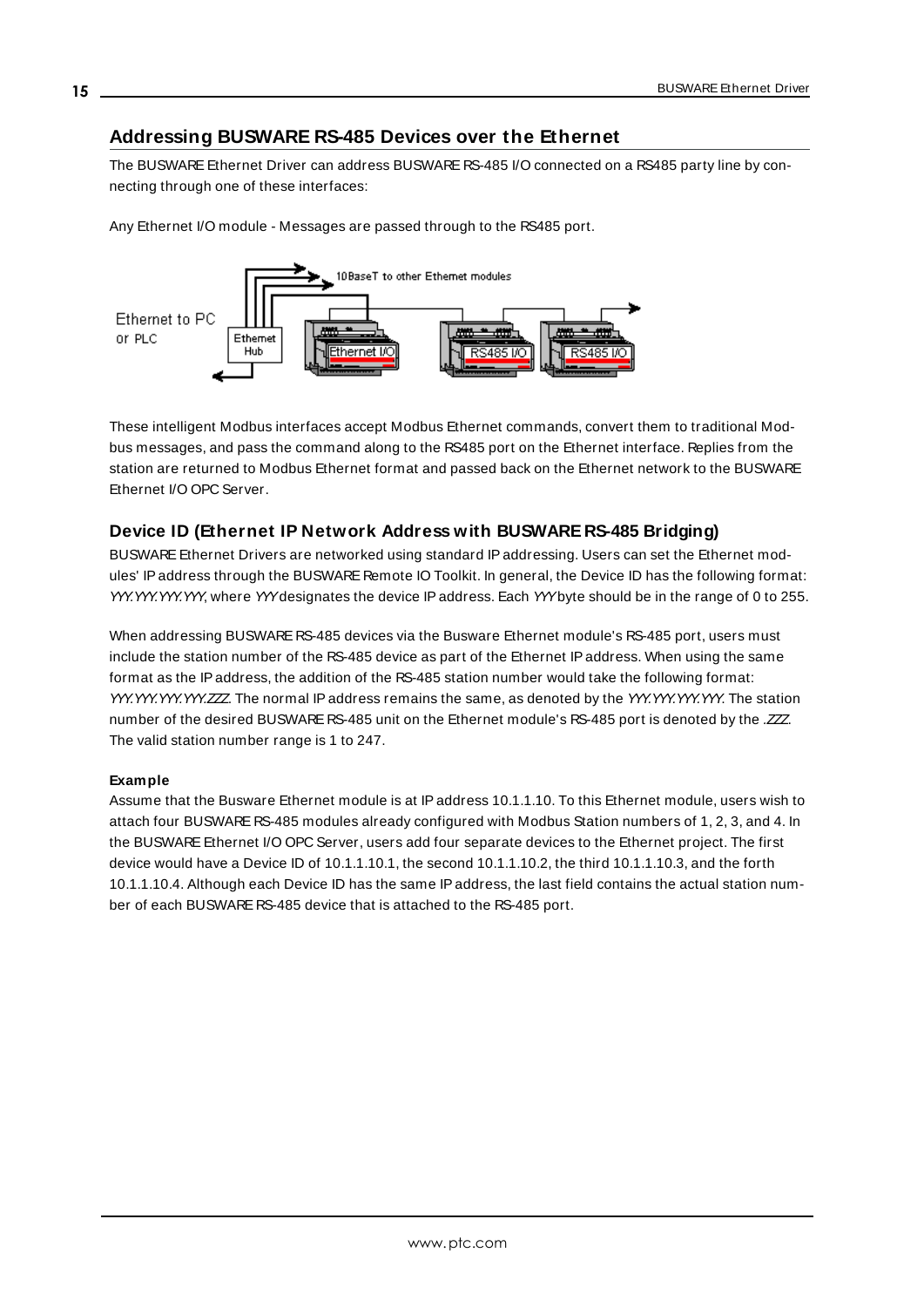### <span id="page-14-0"></span>**Addressing BUSWARE RS-485 Devices over the Ethernet**

The BUSWARE Ethernet Driver can address BUSWARE RS-485 I/O connected on a RS485 party line by connecting through one of these interfaces:

Any Ethernet I/O module - Messages are passed through to the RS485 port.



These intelligent Modbus interfaces accept Modbus Ethernet commands, convert them to traditional Modbus messages, and pass the command along to the RS485 port on the Ethernet interface. Replies from the station are returned to Modbus Ethernet format and passed back on the Ethernet network to the BUSWARE Ethernet I/O OPC Server.

### <span id="page-14-1"></span>**Device ID (Ethernet IP Network Address with BUSWARE RS-485 Bridging)**

BUSWARE Ethernet Drivers are networked using standard IPaddressing. Users can set the Ethernet modules' IPaddress through the BUSWARE Remote IO Toolkit. In general, the Device ID has the following format: YYY.YYY.YYY, where YYYdesignates the device IP address. Each YYYbyte should be in the range of 0 to 255.

When addressing BUSWARE RS-485 devices via the Busware Ethernet module's RS-485 port, users must include the station number of the RS-485 device as part of the Ethernet IPaddress. When using the same format as the IPaddress, the addition of the RS-485 station number would take the following format: YYY.YYY.YYY.YYY.ZZZ The normal IP address remains the same, as denoted by the YYY.YYY.YYY.YYY. The station number of the desired BUSWARE RS-485 unit on the Ethernet module's RS-485 port is denoted by the .ZZZ The valid station number range is 1 to 247.

### **Example**

Assume that the Busware Ethernet module is at IPaddress 10.1.1.10. To this Ethernet module, users wish to attach four BUSWARE RS-485 modules already configured with Modbus Station numbers of 1, 2, 3, and 4. In the BUSWAREEthernet I/O OPC Server, users add four separate devices to the Ethernet project. The first device would have a Device ID of 10.1.1.10.1, the second 10.1.1.10.2, the third 10.1.1.10.3, and the forth 10.1.1.10.4. Although each Device ID has the same IPaddress, the last field contains the actual station number of each BUSWARE RS-485 device that is attached to the RS-485 port.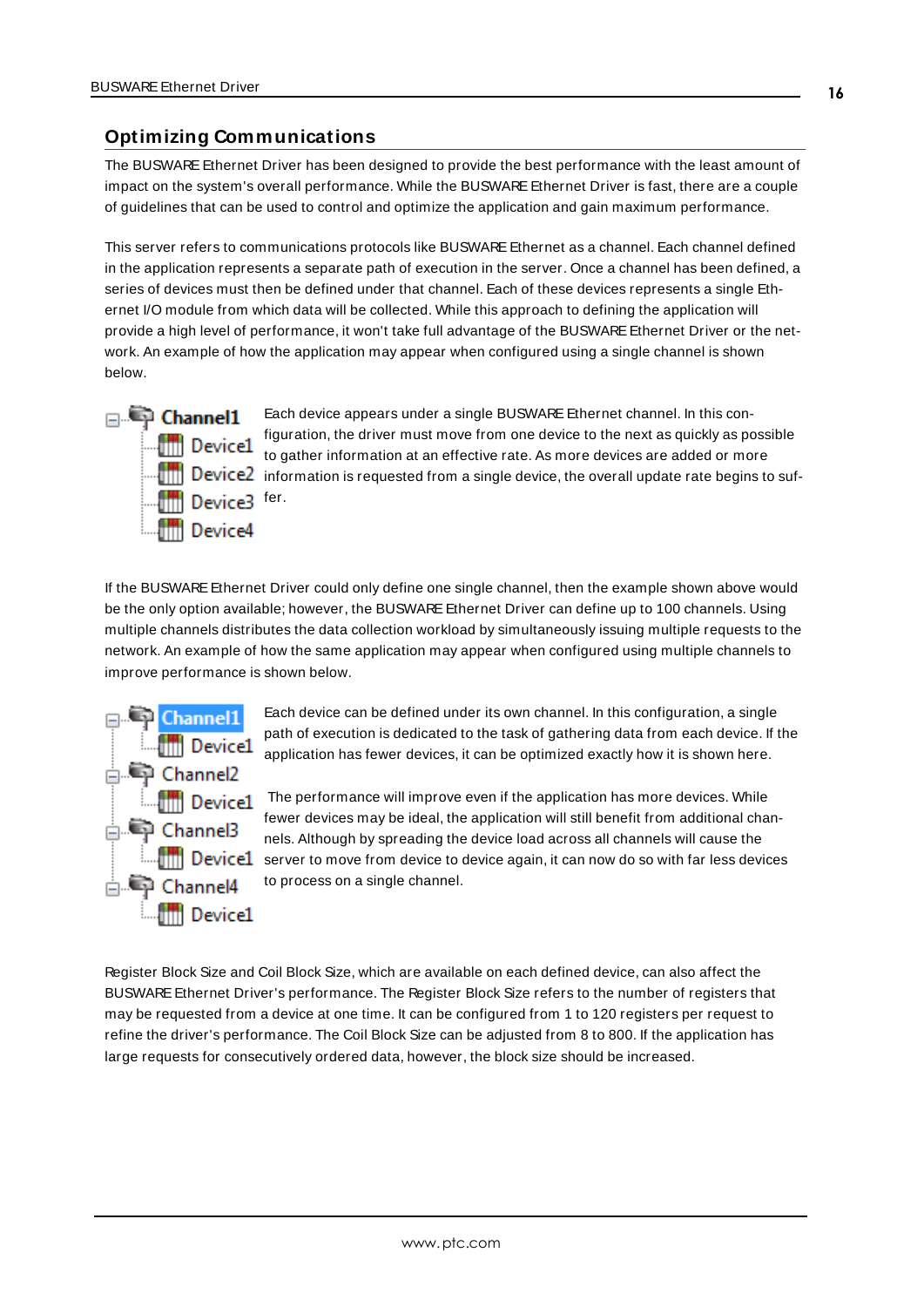### <span id="page-15-0"></span>**Optimizing Communications**

The BUSWARE Ethernet Driver has been designed to provide the best performance with the least amount of impact on the system's overall performance. While the BUSWARE Ethernet Driver is fast, there are a couple of guidelines that can be used to control and optimize the application and gain maximum performance.

This server refers to communications protocols like BUSWAREEthernet as a channel. Each channel defined in the application represents a separate path of execution in the server. Once a channel has been defined, a series of devices must then be defined under that channel. Each of these devices represents a single Ethernet I/O module from which data will be collected. While this approach to defining the application will provide a high level of performance, it won't take full advantage of the BUSWARE Ethernet Driver or the network. An example of how the application may appear when configured using a single channel is shown below.



Each device appears under a single BUSWARE Ethernet channel. In this configuration, the driver must move from one device to the next as quickly as possible to gather information at an effective rate. As more devices are added or more **information** is requested from a single device, the overall update rate begins to suf-

If the BUSWARE Ethernet Driver could only define one single channel, then the example shown above would be the only option available; however, the BUSWARE Ethernet Driver can define up to 100 channels. Using multiple channels distributes the data collection workload by simultaneously issuing multiple requests to the network. An example of how the same application may appear when configured using multiple channels to improve performance is shown below.



Each device can be defined under its own channel. In this configuration, a single path of execution is dedicated to the task of gathering data from each device. If the application has fewer devices, it can be optimized exactly how it is shown here.

The performance will improve even if the application has more devices. While fewer devices may be ideal, the application will still benefit from additional channels. Although by spreading the device load across all channels will cause the **Server to move from device to device again, it can now do so with far less devices** to process on a single channel.

Register Block Size and Coil Block Size, which are available on each defined device, can also affect the BUSWARE Ethernet Driver's performance. The Register Block Size refers to the number of registers that may be requested from a device at one time. It can be configured from 1 to 120 registers per request to refine the driver's performance. The Coil Block Size can be adjusted from 8 to 800. If the application has large requests for consecutively ordered data, however, the block size should be increased.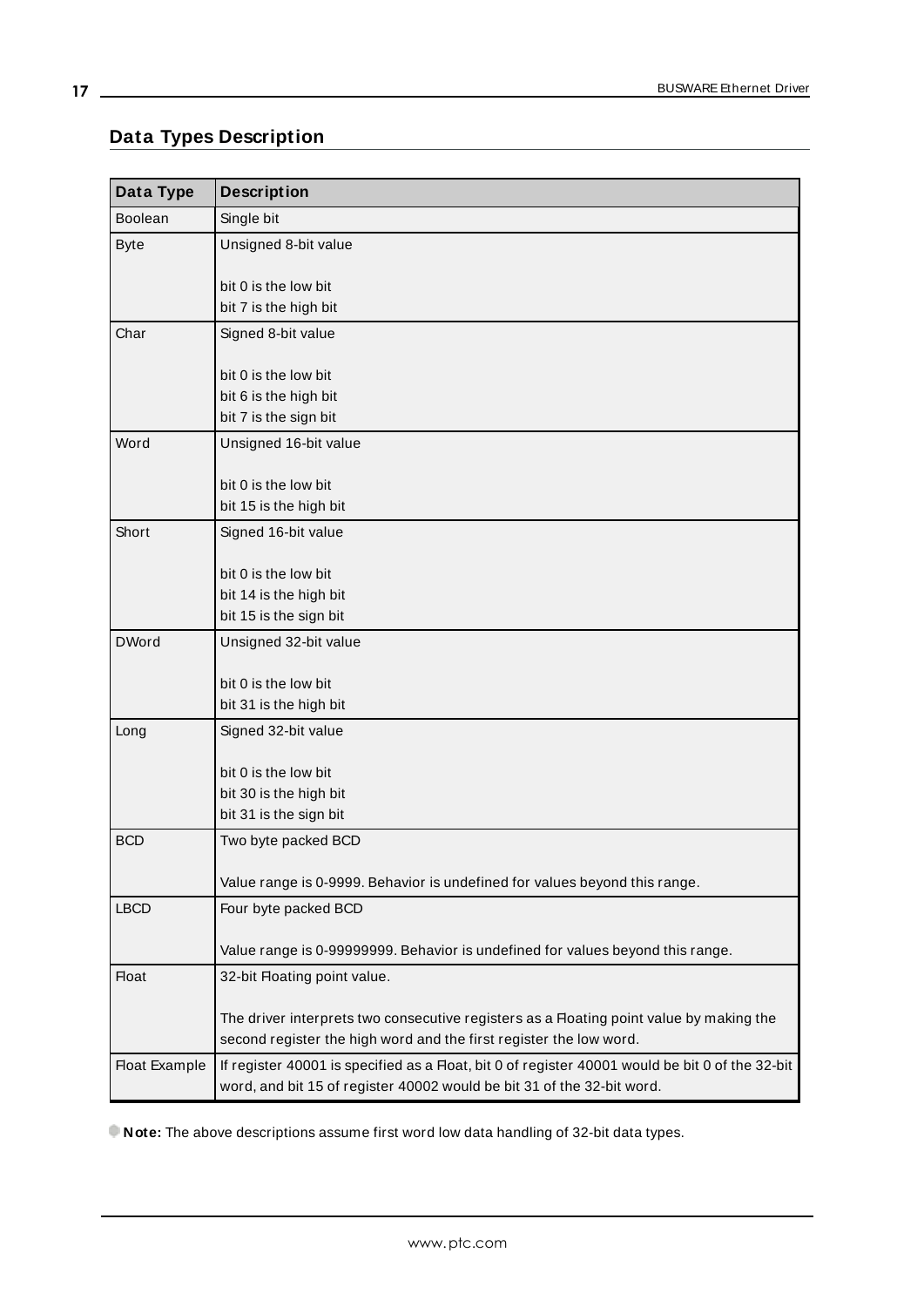## <span id="page-16-0"></span>**Data Types Description**

<u> 1980 - Johann Barn, mars ar breithinn ar chuid ann an t-</u>

<span id="page-16-10"></span><span id="page-16-9"></span><span id="page-16-5"></span><span id="page-16-4"></span><span id="page-16-3"></span><span id="page-16-2"></span>

| Data Type            | <b>Description</b>                                                                              |
|----------------------|-------------------------------------------------------------------------------------------------|
| <b>Boolean</b>       | Single bit                                                                                      |
| <b>Byte</b>          | Unsigned 8-bit value                                                                            |
|                      | bit 0 is the low bit                                                                            |
|                      | bit 7 is the high bit                                                                           |
| Char                 | Signed 8-bit value                                                                              |
|                      |                                                                                                 |
|                      | bit 0 is the low bit                                                                            |
|                      | bit 6 is the high bit                                                                           |
|                      | bit 7 is the sign bit                                                                           |
| Word                 | Unsigned 16-bit value                                                                           |
|                      |                                                                                                 |
|                      | bit 0 is the low bit                                                                            |
|                      | bit 15 is the high bit                                                                          |
| Short                | Signed 16-bit value                                                                             |
|                      | bit 0 is the low bit                                                                            |
|                      | bit 14 is the high bit                                                                          |
|                      | bit 15 is the sign bit                                                                          |
| <b>DWord</b>         | Unsigned 32-bit value                                                                           |
|                      |                                                                                                 |
|                      | bit 0 is the low bit                                                                            |
|                      | bit 31 is the high bit                                                                          |
| Long                 | Signed 32-bit value                                                                             |
|                      | bit 0 is the low bit                                                                            |
|                      | bit 30 is the high bit                                                                          |
|                      | bit 31 is the sign bit                                                                          |
| <b>BCD</b>           | Two byte packed BCD                                                                             |
|                      |                                                                                                 |
|                      | Value range is 0-9999. Behavior is undefined for values beyond this range.                      |
| <b>LBCD</b>          | Four byte packed BCD                                                                            |
|                      |                                                                                                 |
|                      | Value range is 0-99999999. Behavior is undefined for values beyond this range.                  |
| <b>Float</b>         | 32-bit Floating point value.                                                                    |
|                      | The driver interprets two consecutive registers as a Floating point value by making the         |
|                      | second register the high word and the first register the low word.                              |
| <b>Float Example</b> | If register 40001 is specified as a Float, bit 0 of register 40001 would be bit 0 of the 32-bit |
|                      | word, and bit 15 of register 40002 would be bit 31 of the 32-bit word.                          |

<span id="page-16-8"></span><span id="page-16-7"></span><span id="page-16-6"></span><span id="page-16-1"></span>**Note:** The above descriptions assume first word low data handling of 32-bit data types.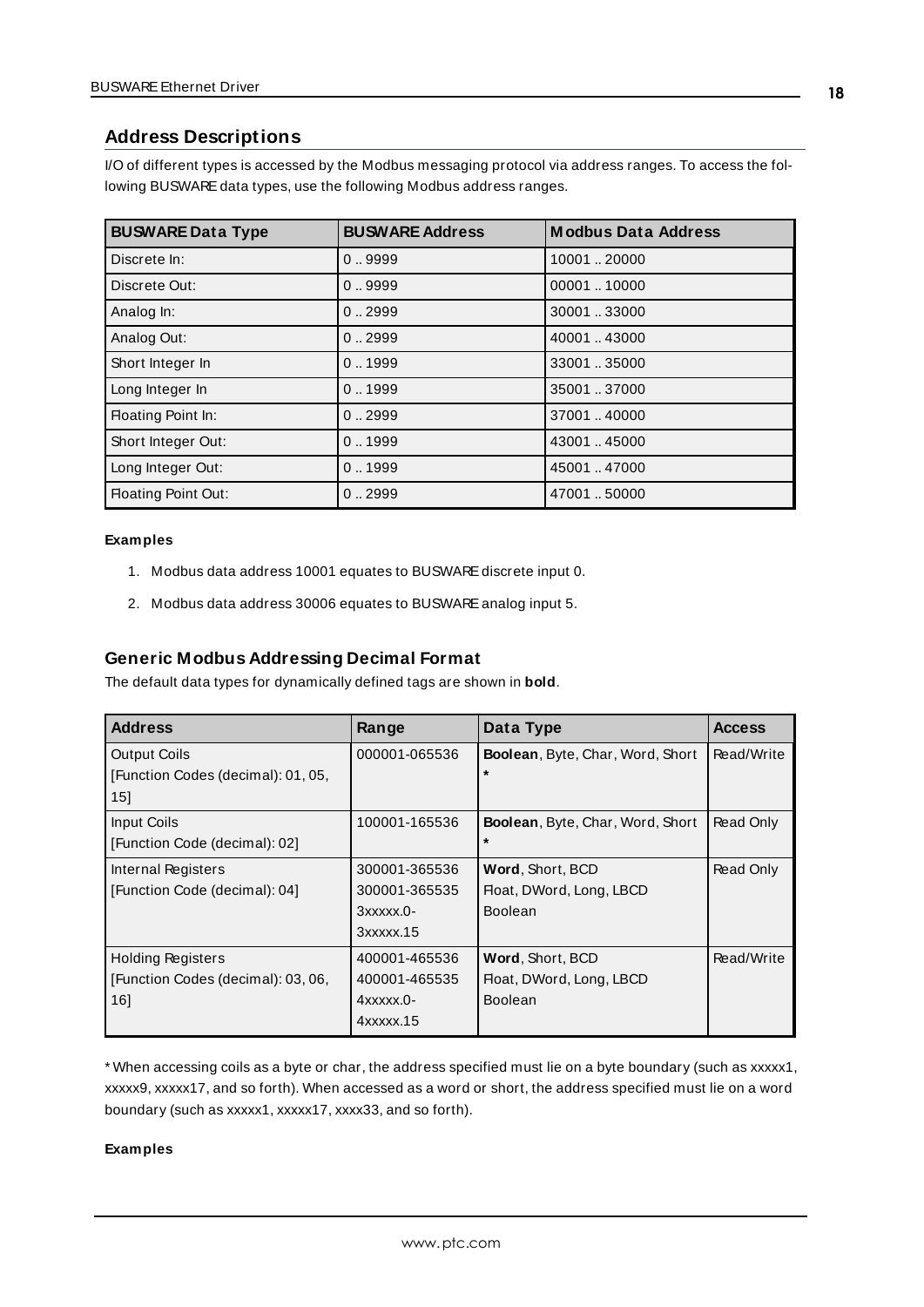### <span id="page-17-0"></span>**Address Descriptions**

I/O of different types is accessed by the Modbus messaging protocol via address ranges. To access the following BUSWARE data types, use the following Modbus address ranges.

<span id="page-17-7"></span><span id="page-17-5"></span><span id="page-17-3"></span><span id="page-17-1"></span>

| <b>BUSWARE Data Type</b>   | <b>BUSWARE Address</b> | <b>Modbus Data Address</b> |
|----------------------------|------------------------|----------------------------|
| Discrete In:               | 0.9999                 | 10001 20000                |
| Discrete Out:              | 0.9999                 | 0000110000                 |
| Analog In:                 | 0.2999                 | 30001 33000                |
| Analog Out:                | 0.2999                 | 40001.43000                |
| Short Integer In           | 0.1999                 | 33001 35000                |
| Long Integer In            | 0.1999                 | 35001 37000                |
| Floating Point In:         | 0.2999                 | 37001  40000               |
| Short Integer Out:         | 0.1999                 | 43001  45000               |
| Long Integer Out:          | 0.1999                 | 45001  47000               |
| <b>Floating Point Out:</b> | 0.2999                 | 47001.50000                |

### <span id="page-17-4"></span>**Examples**

- 1. Modbus data address 10001 equates to BUSWAREdiscrete input 0.
- 2. Modbus data address 30006 equates to BUSWAREanalog input 5.

### **Generic Modbus Addressing Decimal Format**

The default data types for dynamically defined tags are shown in **bold**.

<span id="page-17-6"></span><span id="page-17-2"></span>

| <b>Address</b>                     | Range               | Data Type                               | <b>Access</b> |
|------------------------------------|---------------------|-----------------------------------------|---------------|
| <b>Output Coils</b>                | 000001-065536       | Boolean, Byte, Char, Word, Short        | Read/Write    |
| [Function Codes (decimal): 01, 05, |                     | $\star$                                 |               |
| 15                                 |                     |                                         |               |
| Input Coils                        | 100001-165536       | <b>Boolean, Byte, Char, Word, Short</b> | Read Only     |
| [Function Code (decimal): 02]      |                     | $\star$                                 |               |
| Internal Registers                 | 300001-365536       | Word, Short, BCD                        | Read Only     |
| [Function Code (decimal): 04]      | 300001-365535       | Float, DWord, Long, LBCD                |               |
|                                    | $3x$ $xx$ $x$ $0$ - | Boolean                                 |               |
|                                    | $3x$ $xx$ $x$ $.15$ |                                         |               |
| <b>Holding Registers</b>           | 400001-465536       | Word, Short, BCD                        | Read/Write    |
| [Function Codes (decimal): 03, 06, | 400001-465535       | Float, DWord, Long, LBCD                |               |
| 161                                | $4$ xxxxx.0-        | Boolean                                 |               |
|                                    | 4xxxxx.15           |                                         |               |

\* When accessing coils as a byte or char, the address specified must lie on a byte boundary (such as xxxxx1, xxxxx9, xxxxx17, and so forth). When accessed as a word or short, the address specified must lie on a word boundary (such as xxxxx1, xxxxx17, xxxx33, and so forth).

### **Examples**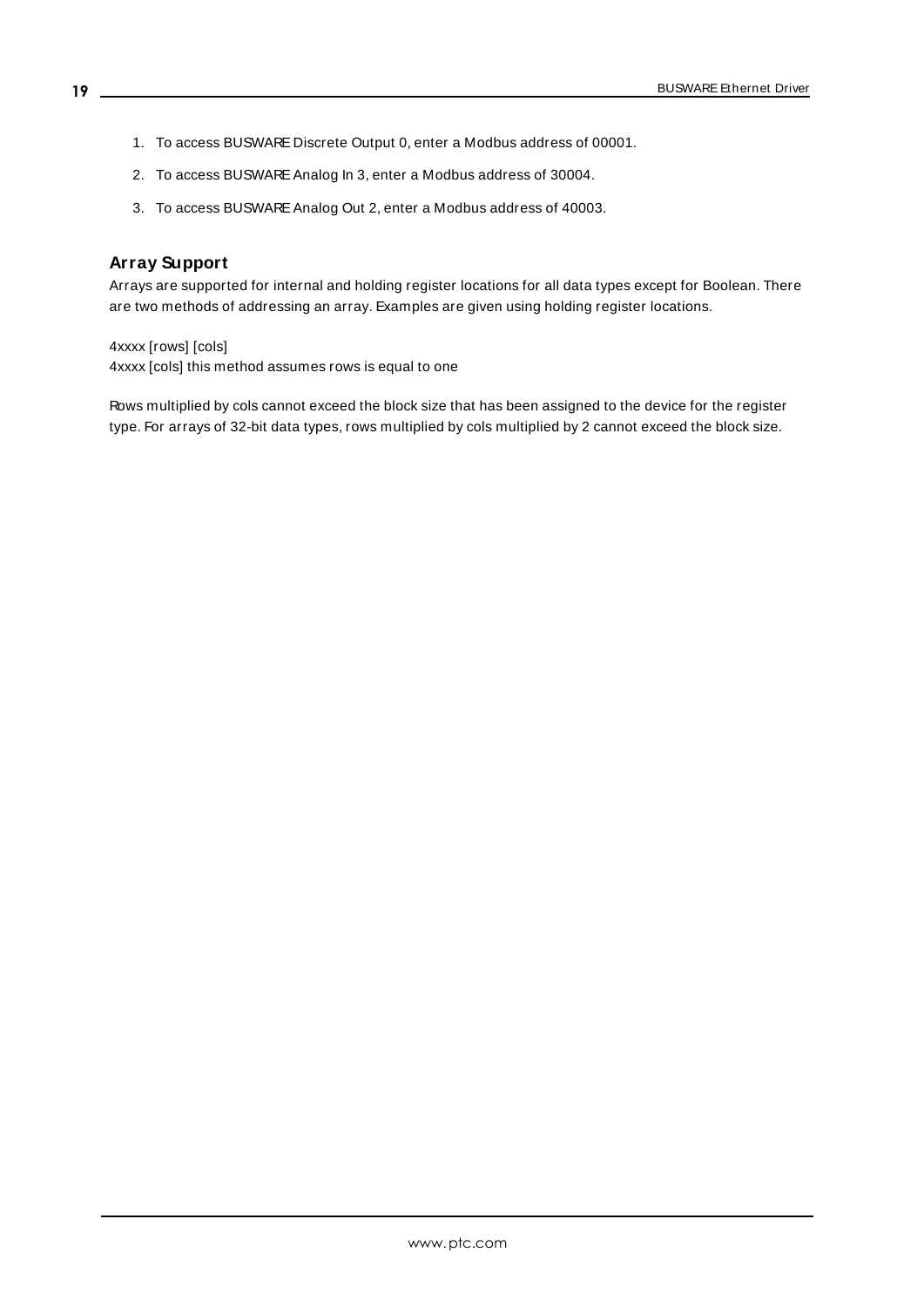- 1. To access BUSWARE Discrete Output 0, enter a Modbus address of 00001.
- 2. To access BUSWARE Analog In 3, enter a Modbus address of 30004.
- 3. To access BUSWARE Analog Out 2, enter a Modbus address of 40003.

### **Array Support**

Arrays are supported for internal and holding register locations for all data types except for Boolean. There are two methods of addressing an array. Examples are given using holding register locations.

4xxxx [rows] [cols] 4xxxx [cols] this method assumes rows is equal to one

Rows multiplied by cols cannot exceed the block size that has been assigned to the device for the register type. For arrays of 32-bit data types, rows multiplied by cols multiplied by 2 cannot exceed the block size.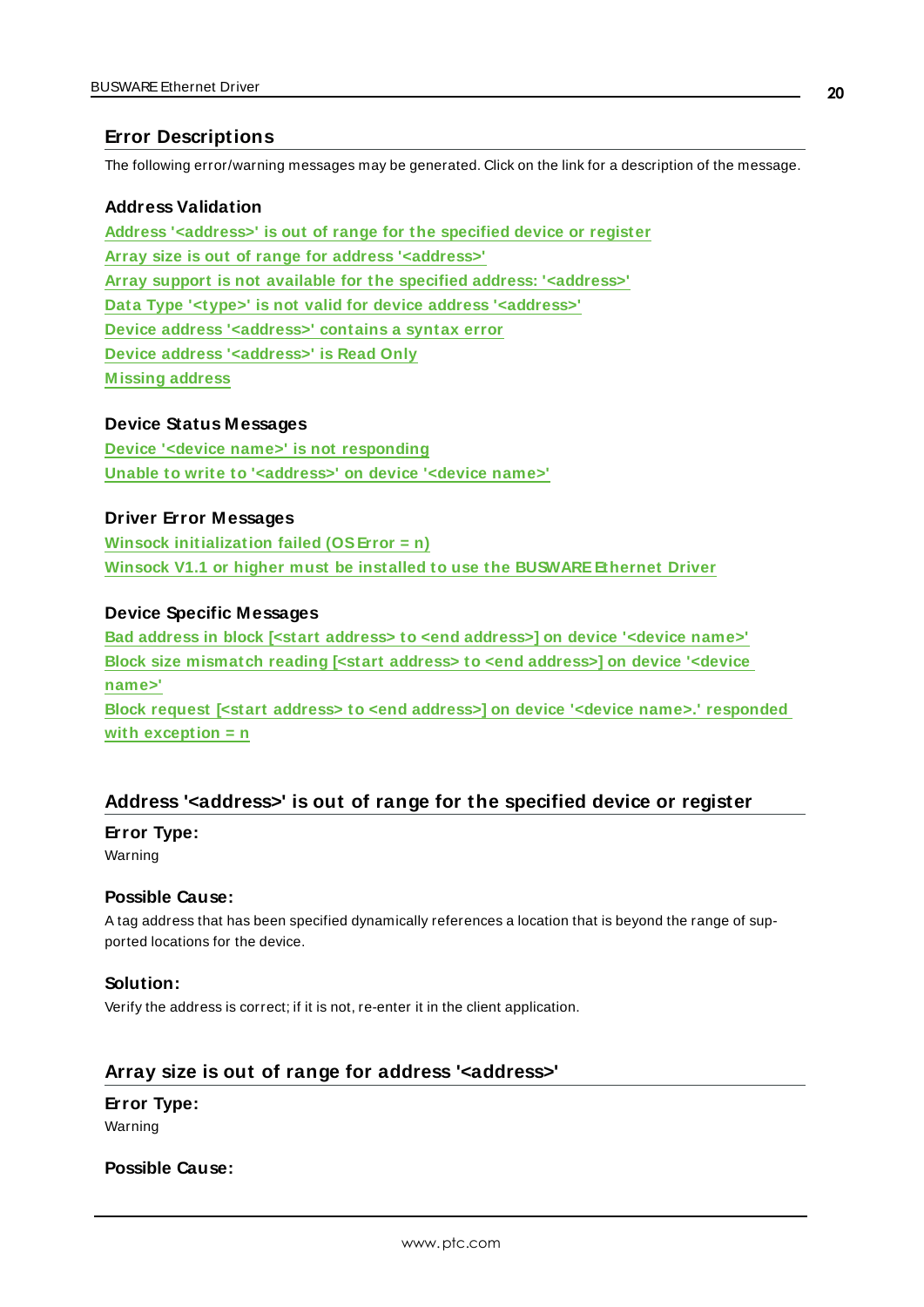### <span id="page-19-0"></span>**Error Descriptions**

The following error/warning messages may be generated. Click on the link for a description of the message.

### **Address Validation**

**Address ['<address>'](#page-19-1) is out of range for the specified device or register Array size is out of range for address ['<address>'](#page-19-2) Array support is not available for the specified address: ['<address>'](#page-20-0) Data Type '<type>' is not valid for device address ['<address>'](#page-20-1) Device address ['<address>'](#page-20-2) contains a syntax error Device address ['<address>'](#page-20-3) is Read Only [M issing](#page-21-0) address**

### **Device Status Messages**

**Device '<device name>' is not [responding](#page-21-1) Unable to write to ['<address>'](#page-21-2) on device '<device name>'**

### **Driver Error Messages**

**Winsock [initialization](#page-22-0) failed (OSError = n) Winsock V1.1 or higher must be installed to use the [BUSWARE Ethernet](#page-22-1) Driver**

### **Device Specific Messages**

**Bad address in block [<start address> to <end [address>\]](#page-22-2) on device '<device name>' Block size [mismatch](#page-23-0) reading [<start address> to <end address>] on device '<device [name>'](#page-23-0) Block request [<start address> to <end address>] on device '<device name>.' [responded](#page-23-1)**

**with [exception](#page-23-1) = n**

### <span id="page-19-1"></span>**Address '<address>' is out of range for the specified device or register**

### **Error Type:**

Warning

### **Possible Cause:**

A tag address that has been specified dynamically references a location that is beyond the range of supported locations for the device.

### **Solution:**

Verify the address is correct; if it is not, re-enter it in the client application.

### <span id="page-19-2"></span>**Array size is out of range for address '<address>'**

### **Error Type:**

Warning

### **Possible Cause:**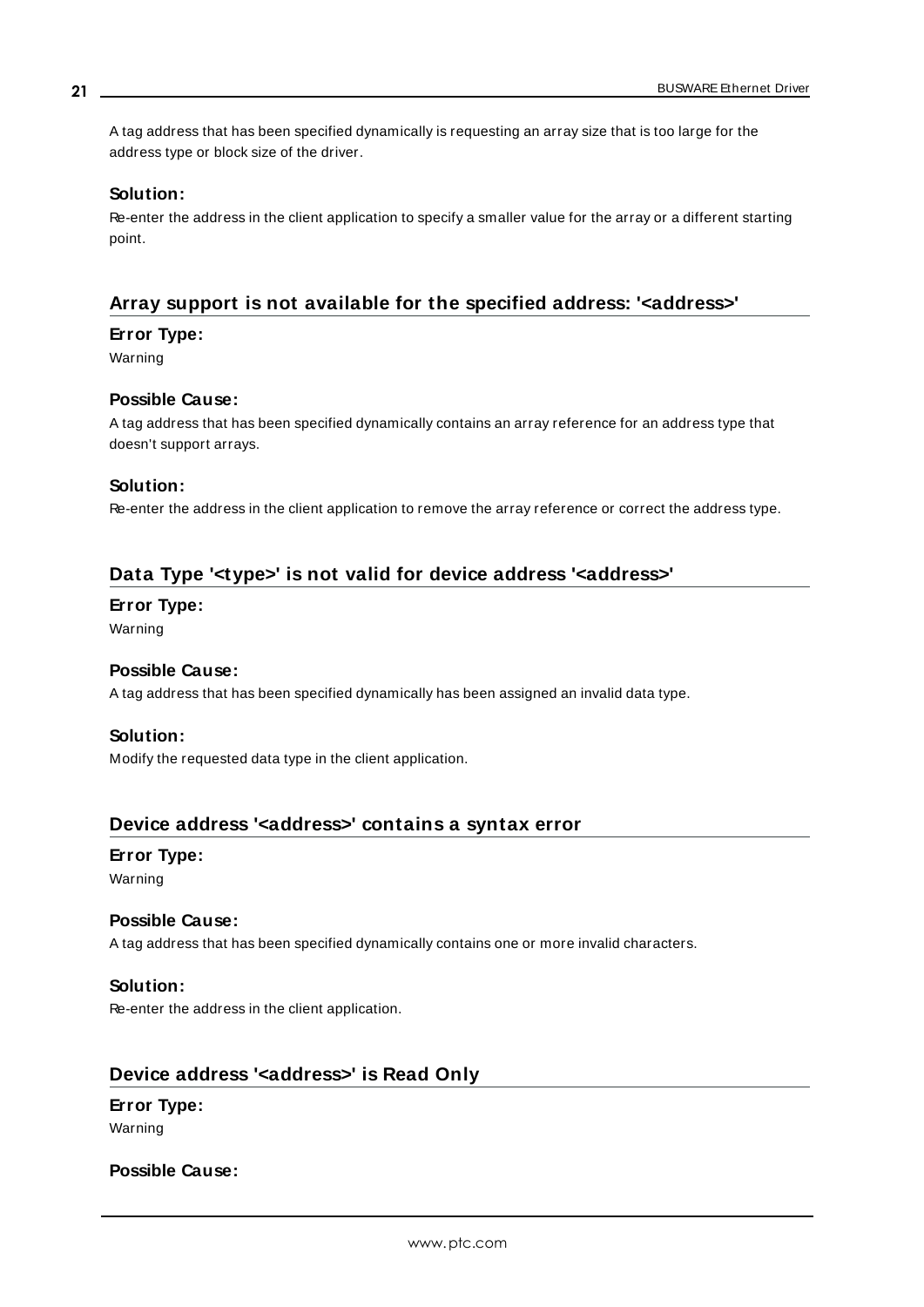A tag address that has been specified dynamically is requesting an array size that is too large for the address type or block size of the driver.

### **Solution:**

Re-enter the address in the client application to specify a smaller value for the array or a different starting point.

### <span id="page-20-0"></span>**Array support is not available for the specified address: '<address>'**

### **Error Type:**

Warning

### **Possible Cause:**

A tag address that has been specified dynamically contains an array reference for an address type that doesn't support arrays.

### **Solution:**

Re-enter the address in the client application to remove the array reference or correct the address type.

### <span id="page-20-1"></span>**Data Type '<type>' is not valid for device address '<address>'**

### **Error Type:**

Warning

### **Possible Cause:**

A tag address that has been specified dynamically has been assigned an invalid data type.

### **Solution:**

Modify the requested data type in the client application.

### <span id="page-20-2"></span>**Device address '<address>' contains a syntax error**

## **Error Type:**

Warning

### **Possible Cause:**

A tag address that has been specified dynamically contains one or more invalid characters.

### **Solution:**

Re-enter the address in the client application.

### <span id="page-20-3"></span>**Device address '<address>' is Read Only**

## **Error Type:**

Warning

### **Possible Cause:**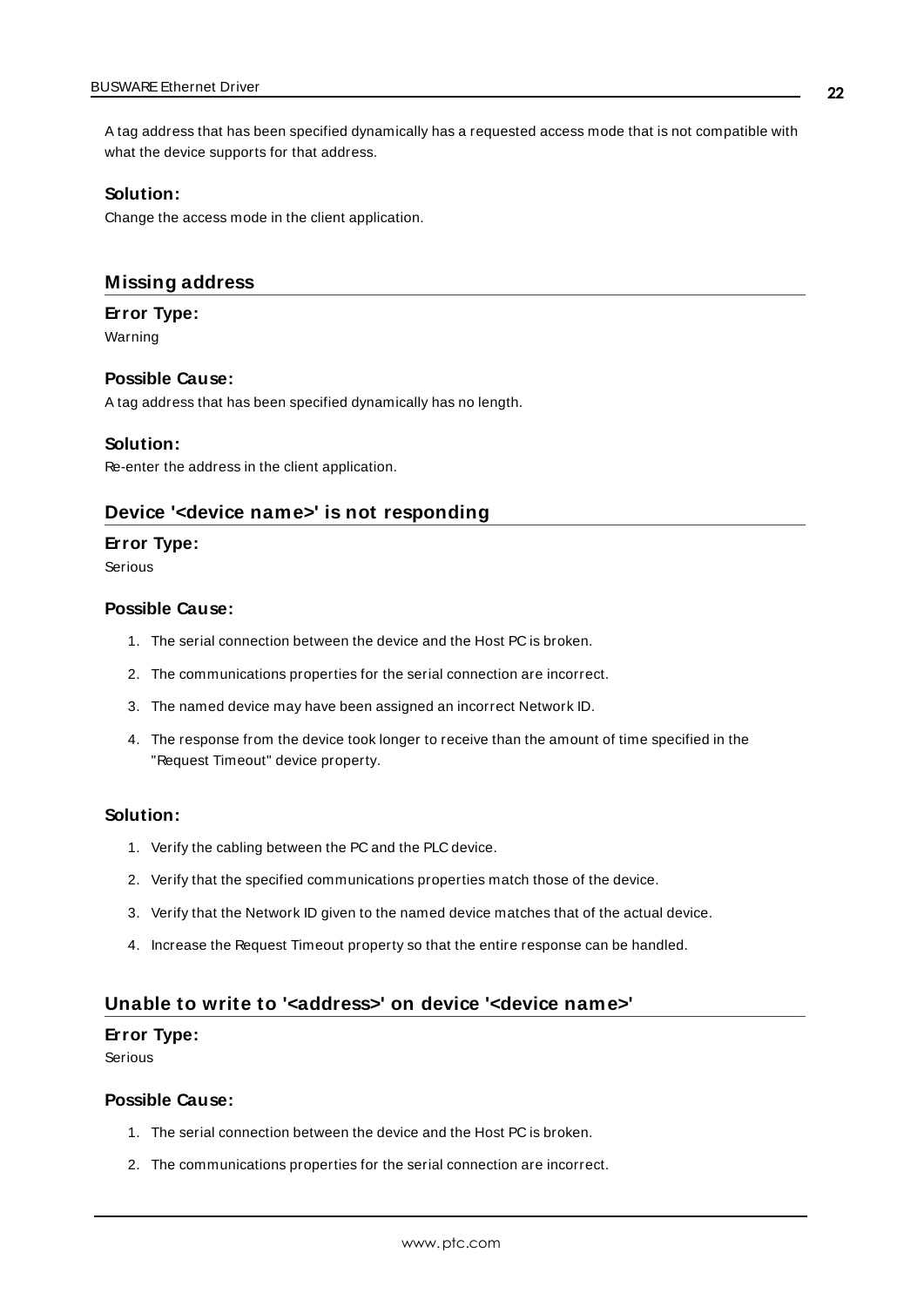A tag address that has been specified dynamically has a requested access mode that is not compatible with what the device supports for that address.

#### **Solution:**

Change the access mode in the client application.

### <span id="page-21-0"></span>**Missing address**

### **Error Type:**

Warning

### **Possible Cause:**

A tag address that has been specified dynamically has no length.

### **Solution:**

<span id="page-21-1"></span>Re-enter the address in the client application.

### **Device '<device name>' is not responding**

### **Error Type:**

Serious

### **Possible Cause:**

- 1. The serial connection between the device and the Host PC is broken.
- 2. The communications properties for the serial connection are incorrect.
- 3. The named device may have been assigned an incorrect Network ID.
- 4. The response from the device took longer to receive than the amount of time specified in the "Request Timeout" device property.

#### **Solution:**

- 1. Verify the cabling between the PC and the PLC device.
- 2. Verify that the specified communications properties match those of the device.
- 3. Verify that the Network ID given to the named device matches that of the actual device.
- 4. Increase the Request Timeout property so that the entire response can be handled.

### <span id="page-21-2"></span>**Unable to write to '<address>' on device '<device name>'**

### **Error Type:**

Serious

### **Possible Cause:**

- 1. The serial connection between the device and the Host PC is broken.
- 2. The communications properties for the serial connection are incorrect.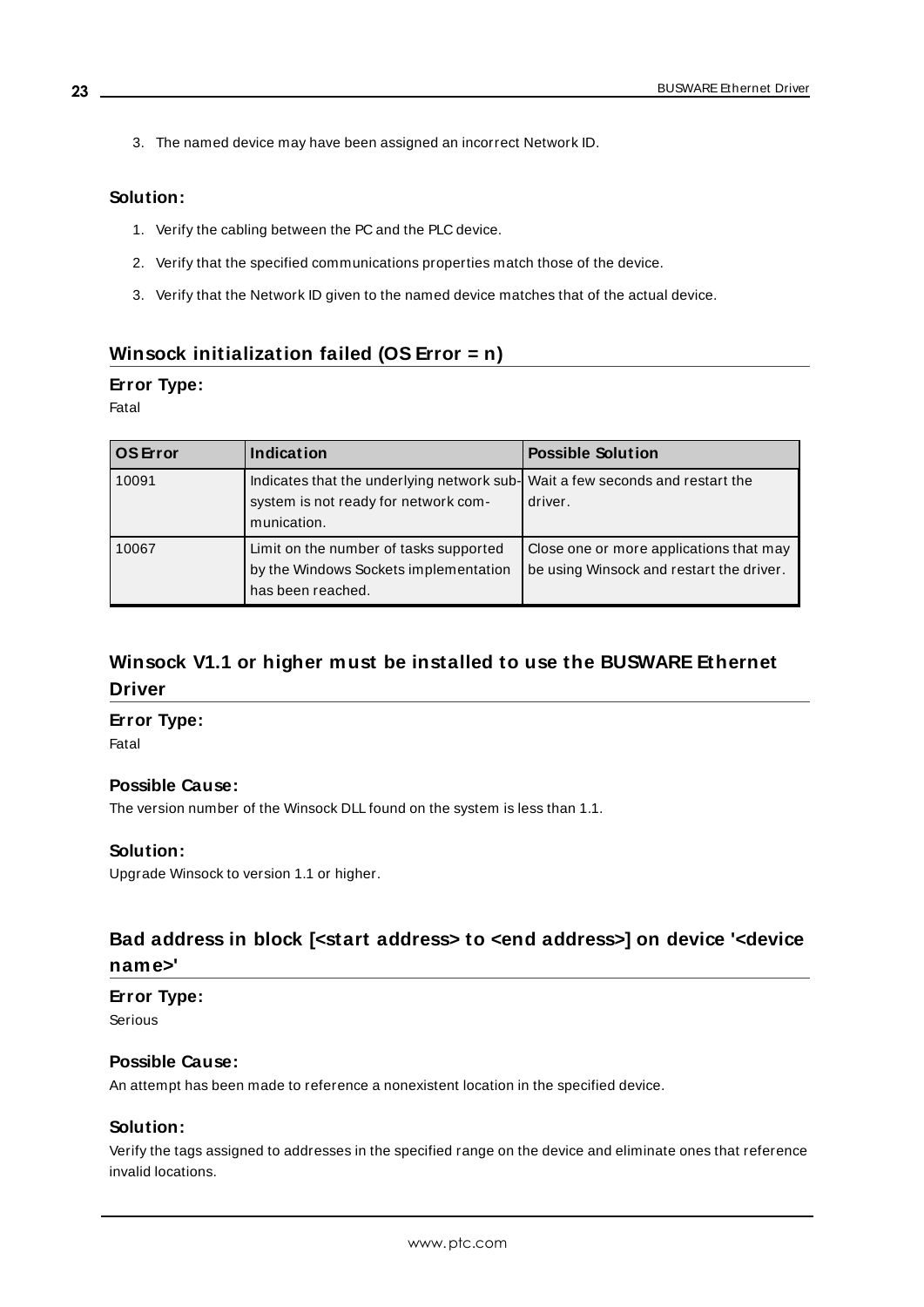3. The named device may have been assigned an incorrect Network ID.

### **Solution:**

- 1. Verify the cabling between the PC and the PLC device.
- 2. Verify that the specified communications properties match those of the device.
- 3. Verify that the Network ID given to the named device matches that of the actual device.

### <span id="page-22-0"></span>**Winsock initialization failed (OS Error = n)**

### **Error Type:**

### Fatal

| <b>OS</b> Error | Indication                                                                                                                           | <b>Possible Solution</b>                                                            |
|-----------------|--------------------------------------------------------------------------------------------------------------------------------------|-------------------------------------------------------------------------------------|
| 10091           | Indicates that the underlying network sub- Wait a few seconds and restart the<br>system is not ready for network com-<br>munication. | driver.                                                                             |
| 10067           | Limit on the number of tasks supported<br>by the Windows Sockets implementation<br>has been reached.                                 | Close one or more applications that may<br>be using Winsock and restart the driver. |

## <span id="page-22-1"></span>**Winsock V1.1 or higher must be installed to use the BUSWARE Ethernet Driver**

### **Error Type:**

Fatal

### **Possible Cause:**

The version number of the Winsock DLL found on the system is less than 1.1.

### **Solution:**

Upgrade Winsock to version 1.1 or higher.

## <span id="page-22-2"></span>**Bad address in block [<start address> to <end address>] on device '<device name>'**

### **Error Type:**

Serious

### **Possible Cause:**

An attempt has been made to reference a nonexistent location in the specified device.

### **Solution:**

Verify the tags assigned to addresses in the specified range on the device and eliminate ones that reference invalid locations.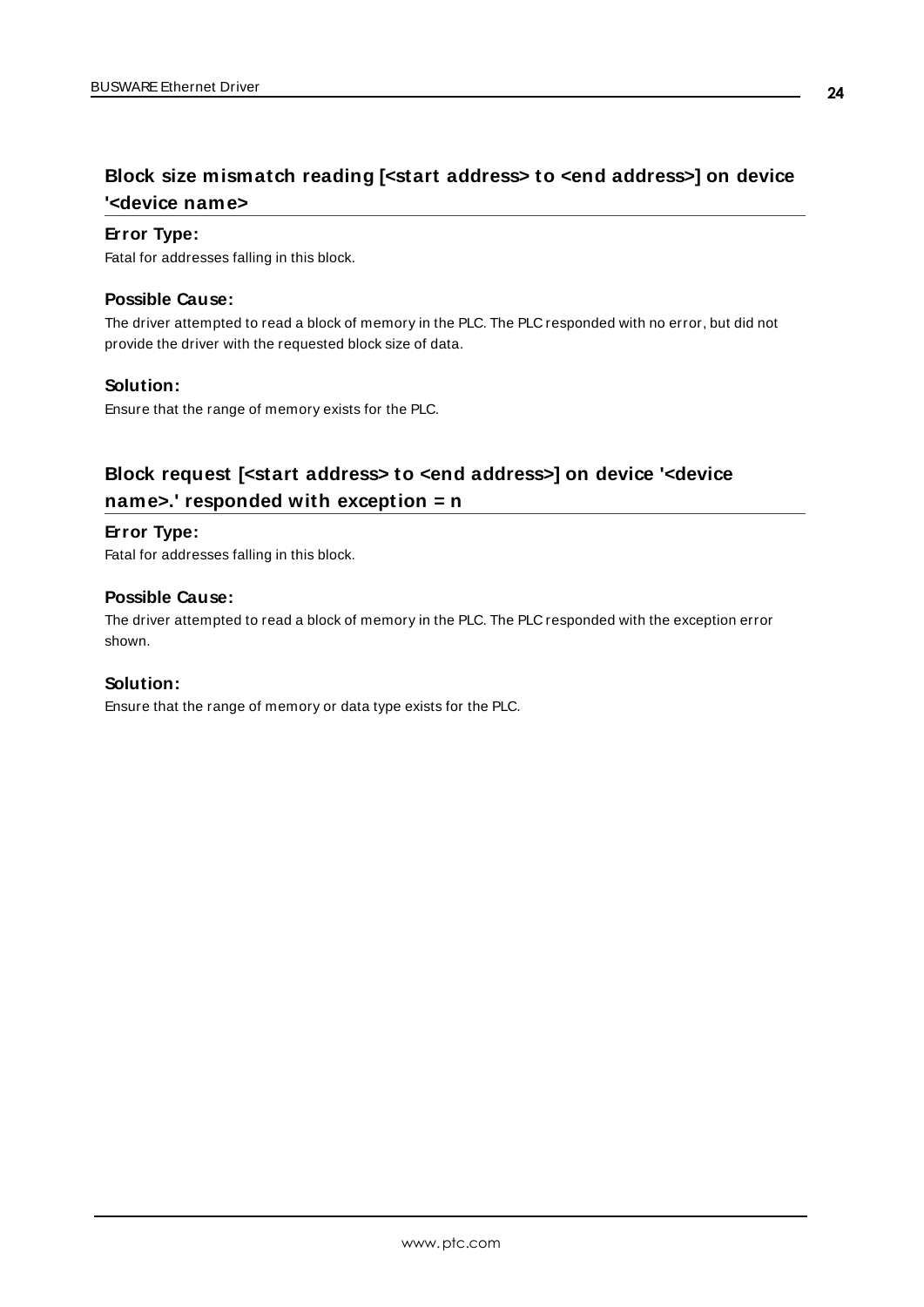## <span id="page-23-0"></span>**Block size mismatch reading [<start address> to <end address>] on device '<device name>**

### **Error Type:**

Fatal for addresses falling in this block.

### **Possible Cause:**

The driver attempted to read a block of memory in the PLC. The PLC responded with no error, but did not provide the driver with the requested block size of data.

### **Solution:**

Ensure that the range of memory exists for the PLC.

## <span id="page-23-1"></span>**Block request [<start address> to <end address>] on device '<device name>.' responded with exception = n**

### **Error Type:**

Fatal for addresses falling in this block.

### **Possible Cause:**

The driver attempted to read a block of memory in the PLC. The PLC responded with the exception error shown.

### **Solution:**

Ensure that the range of memory or data type exists for the PLC.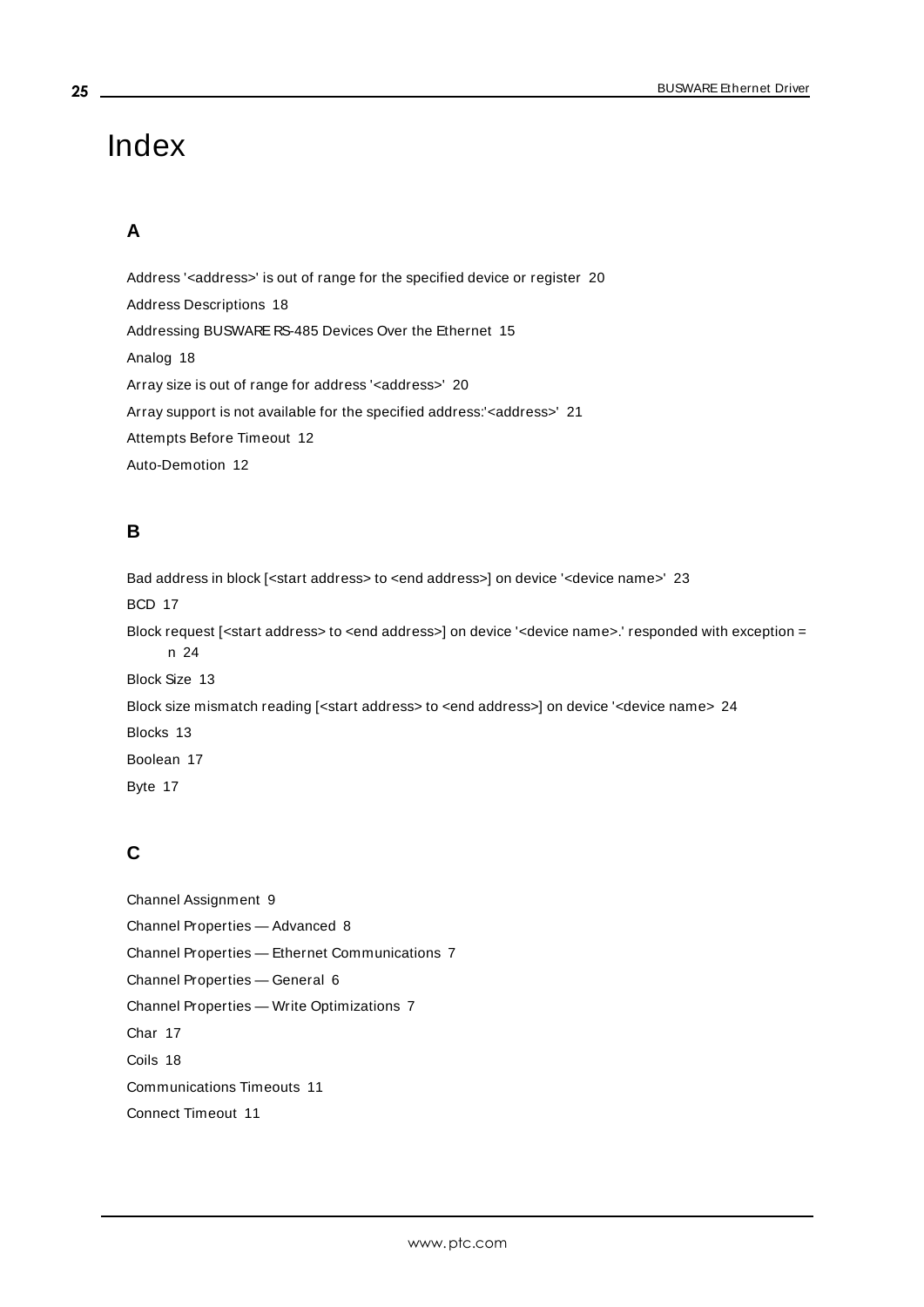## <span id="page-24-0"></span>Index

## **A**

Address '<address>' is out of range for the specified device or register [20](#page-19-1) Address Descriptions [18](#page-17-0) Addressing BUSWARE RS-485 Devices Over the Ethernet [15](#page-14-0) Analog [18](#page-17-1) Array size is out of range for address '<address>' [20](#page-19-2) Array support is not available for the specified address: < address>' [21](#page-20-0) Attempts Before Timeout [12](#page-11-1) Auto-Demotion [12](#page-11-0)

### **B**

Bad address in block [<start address> to <end address>] on device '<device name>' [23](#page-22-2) BCD [17](#page-16-1) Block request [<start address> to <end address>] on device '<device name>.' responded with exception = n [24](#page-23-1) Block Size [13](#page-12-2) Block size mismatch reading [<start address> to <end address>] on device '<device name> [24](#page-23-0) Blocks [13](#page-12-1) Boolean [17](#page-16-2) Byte [17](#page-16-3)

## **C**

Channel Assignment [9](#page-8-1) Channel Properties — Advanced [8](#page-7-0) Channel Properties — Ethernet Communications [7](#page-6-1) Channel Properties — General [6](#page-5-0) Channel Properties — Write Optimizations [7](#page-6-3) Char [17](#page-16-4) Coils [18](#page-17-2) Communications Timeouts [11](#page-10-1) Connect Timeout [11](#page-10-2)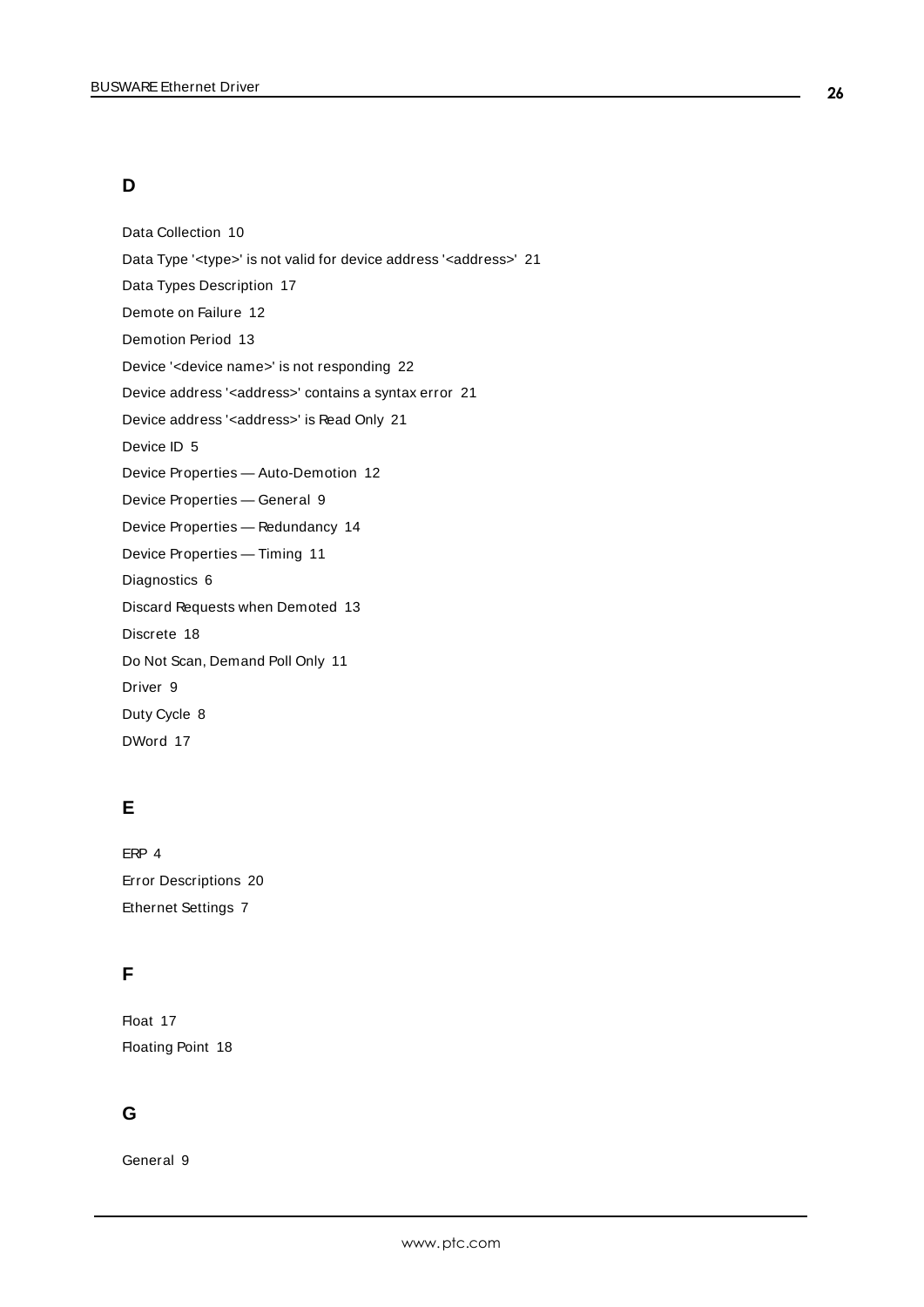## **D**

Data Collection [10](#page-9-3) Data Type '<type>' is not valid for device address '<aaddress>' [21](#page-20-1) Data Types Description [17](#page-16-0) Demote on Failure [12](#page-11-2) Demotion Period [13](#page-12-3) Device '<device name>' is not responding [22](#page-21-1) Device address '< address>' contains a syntax error [21](#page-20-2) Device address '< address>' is Read Only [21](#page-20-3) Device ID [5](#page-4-1) Device Properties — Auto-Demotion [12](#page-11-0) Device Properties — General [9](#page-8-0) Device Properties — Redundancy [14](#page-13-0) Device Properties — Timing [11](#page-10-0) Diagnostics [6](#page-5-1) Discard Requests when Demoted [13](#page-12-4) Discrete [18](#page-17-3) Do Not Scan, Demand Poll Only [11](#page-10-3) Driver [9](#page-8-2) Duty Cycle [8](#page-7-1) DWord [17](#page-16-5)

## **E**

ERP [4](#page-3-2) Error Descriptions [20](#page-19-0) Ethernet Settings [7](#page-6-4)

## **F**

Float [17](#page-16-6) Floating Point [18](#page-17-4)

## **G**

General [9](#page-8-0)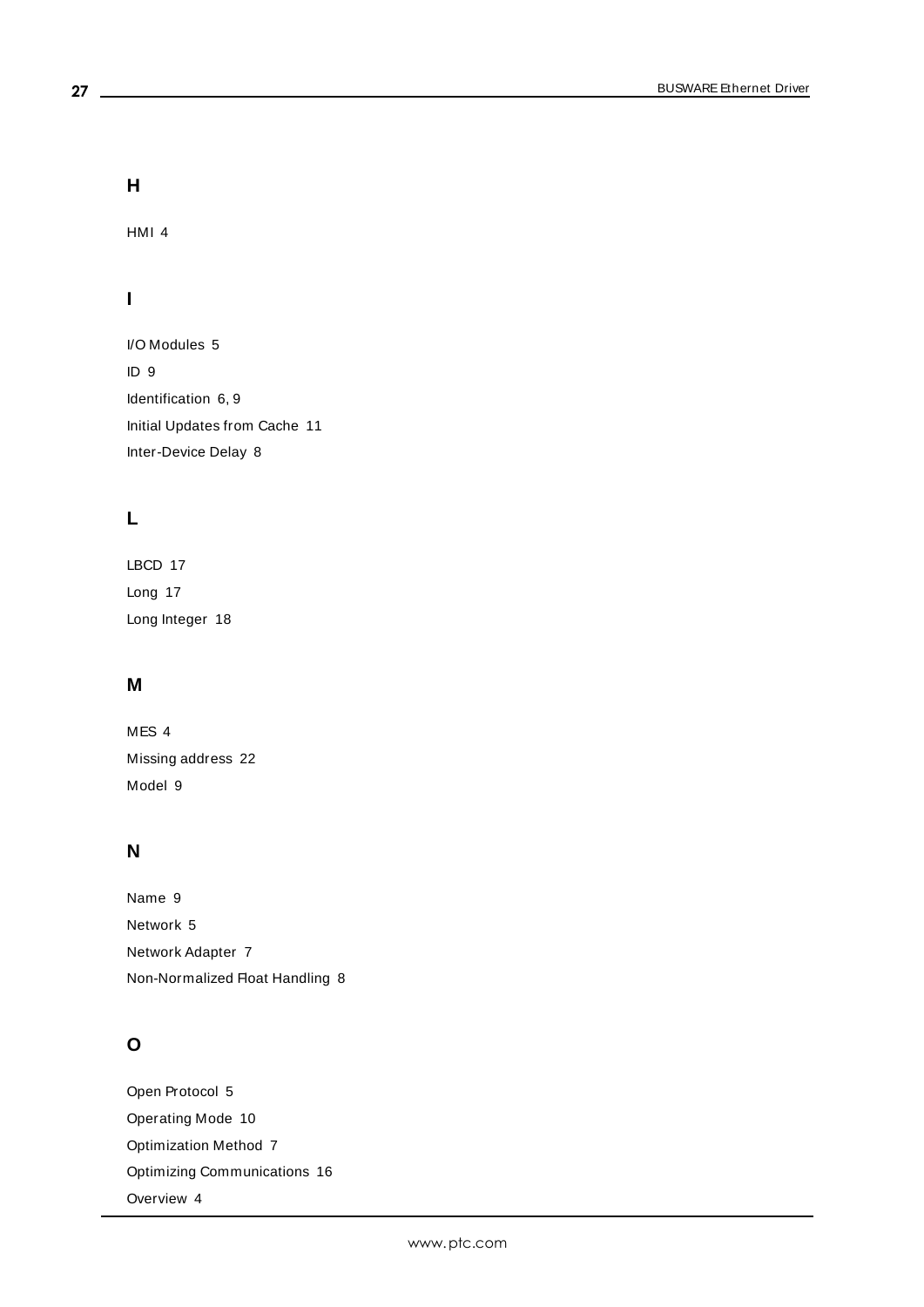**H**

HMI [4](#page-3-2)

## **I**

I/O Modules [5](#page-4-2) ID [9](#page-8-3) Identification [6,](#page-5-2) [9](#page-8-4) Initial Updates from Cache [11](#page-10-4) Inter-Device Delay [8](#page-7-2)

## **L**

LBCD [17](#page-16-7) Long [17](#page-16-8) Long Integer [18](#page-17-5)

### **M**

MES [4](#page-3-2) Missing address [22](#page-21-0) Model [9](#page-8-5)

## **N**

Name [9](#page-8-6) Network [5](#page-4-1) Network Adapter [7](#page-6-5) Non-Normalized Float Handling [8](#page-7-3)

## **O**

Open Protocol [5](#page-4-3) Operating Mode [10](#page-9-0) Optimization Method [7](#page-6-6) Optimizing Communications [16](#page-15-0) Overview [4](#page-3-1)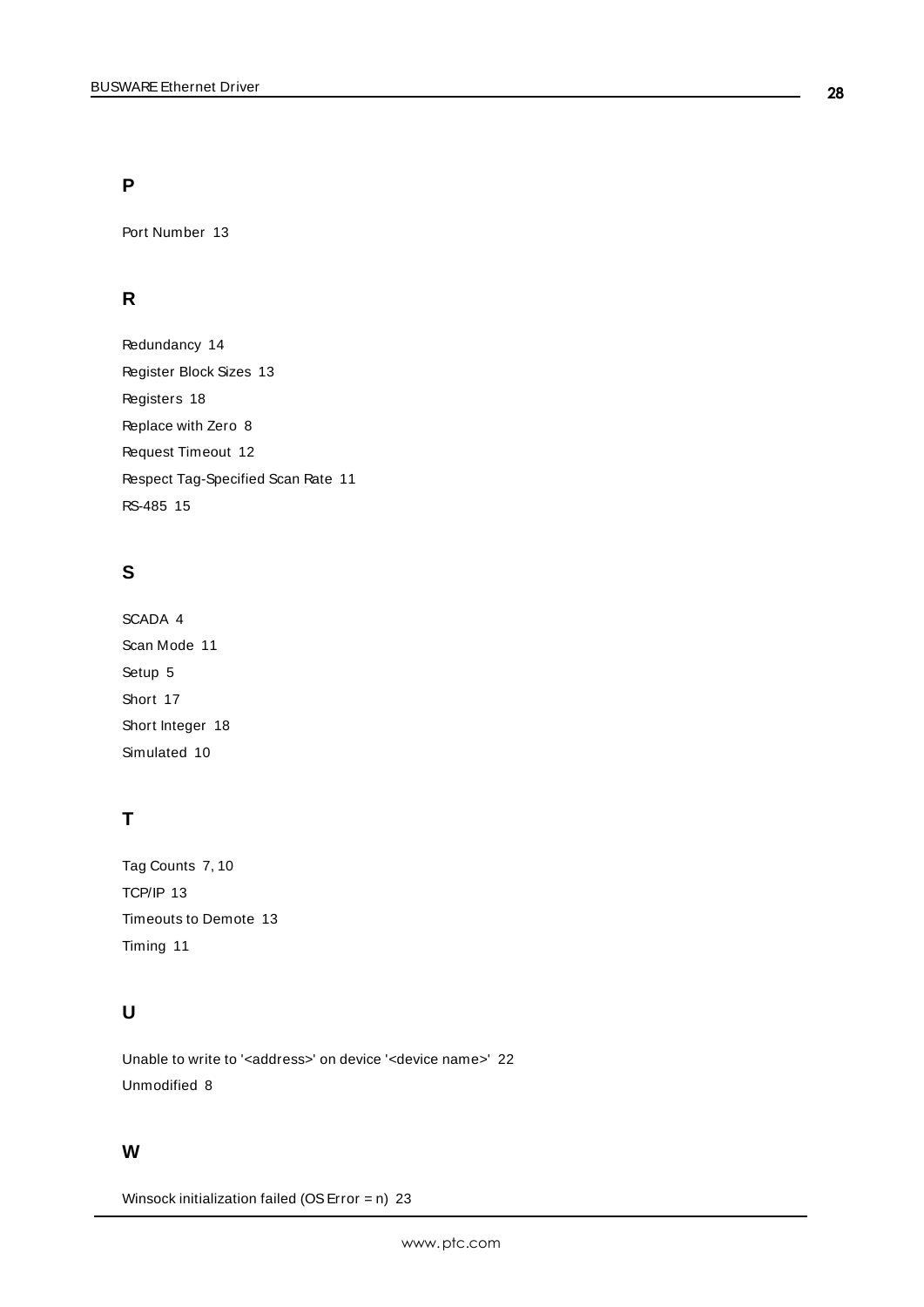### **P**

Port Number [13](#page-12-5)

## **R**

Redundancy [14](#page-13-0) Register Block Sizes [13](#page-12-6) Registers [18](#page-17-6) Replace with Zero [8](#page-7-4) Request Timeout [12](#page-11-3) Respect Tag-Specified Scan Rate [11](#page-10-5) RS-485 [15](#page-14-1)

## **S**

SCADA [4](#page-3-2) Scan Mode [11](#page-10-6) Setup [5](#page-4-0) Short [17](#page-16-9) Short Integer [18](#page-17-7) Simulated [10](#page-9-4)

## **T**

Tag Counts [7,](#page-6-0) [10](#page-9-1) TCP/IP [13](#page-12-0) Timeouts to Demote [13](#page-12-7) Timing [11](#page-10-0)

## **U**

Unable to write to '<address>' on device '<device name>' [22](#page-21-2) Unmodified [8](#page-7-5)

### **W**

Winsock initialization failed (OS Error =  $n)$  [23](#page-22-0)